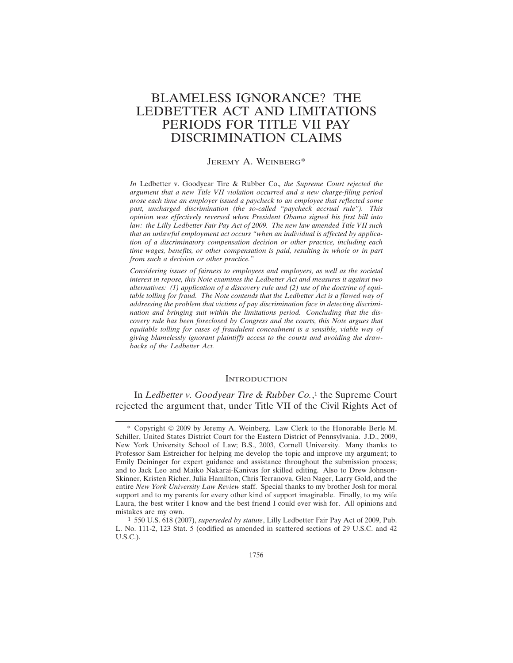# BLAMELESS IGNORANCE? THE LEDBETTER ACT AND LIMITATIONS PERIODS FOR TITLE VII PAY DISCRIMINATION CLAIMS

### JEREMY A. WEINBERG\*

*In* Ledbetter v. Goodyear Tire & Rubber Co.*, the Supreme Court rejected the argument that a new Title VII violation occurred and a new charge-filing period arose each time an employer issued a paycheck to an employee that reflected some past, uncharged discrimination (the so-called "paycheck accrual rule"). This opinion was effectively reversed when President Obama signed his first bill into law: the Lilly Ledbetter Fair Pay Act of 2009. The new law amended Title VII such that an unlawful employment act occurs "when an individual is affected by application of a discriminatory compensation decision or other practice, including each time wages, benefits, or other compensation is paid, resulting in whole or in part from such a decision or other practice."*

*Considering issues of fairness to employees and employers, as well as the societal interest in repose, this Note examines the Ledbetter Act and measures it against two alternatives: (1) application of a discovery rule and (2) use of the doctrine of equitable tolling for fraud. The Note contends that the Ledbetter Act is a flawed way of addressing the problem that victims of pay discrimination face in detecting discrimination and bringing suit within the limitations period. Concluding that the discovery rule has been foreclosed by Congress and the courts, this Note argues that equitable tolling for cases of fraudulent concealment is a sensible, viable way of giving blamelessly ignorant plaintiffs access to the courts and avoiding the drawbacks of the Ledbetter Act.*

### **INTRODUCTION**

In *Ledbetter v. Goodyear Tire & Rubber Co.*, 1 the Supreme Court rejected the argument that, under Title VII of the Civil Rights Act of

<sup>\*</sup> Copyright © 2009 by Jeremy A. Weinberg. Law Clerk to the Honorable Berle M. Schiller, United States District Court for the Eastern District of Pennsylvania. J.D., 2009, New York University School of Law; B.S., 2003, Cornell University. Many thanks to Professor Sam Estreicher for helping me develop the topic and improve my argument; to Emily Deininger for expert guidance and assistance throughout the submission process; and to Jack Leo and Maiko Nakarai-Kanivas for skilled editing. Also to Drew Johnson-Skinner, Kristen Richer, Julia Hamilton, Chris Terranova, Glen Nager, Larry Gold, and the entire *New York University Law Review* staff. Special thanks to my brother Josh for moral support and to my parents for every other kind of support imaginable. Finally, to my wife Laura, the best writer I know and the best friend I could ever wish for. All opinions and mistakes are my own.

<sup>1</sup> 550 U.S. 618 (2007), *superseded by statute*, Lilly Ledbetter Fair Pay Act of 2009, Pub. L. No. 111-2, 123 Stat. 5 (codified as amended in scattered sections of 29 U.S.C. and 42 U.S.C.).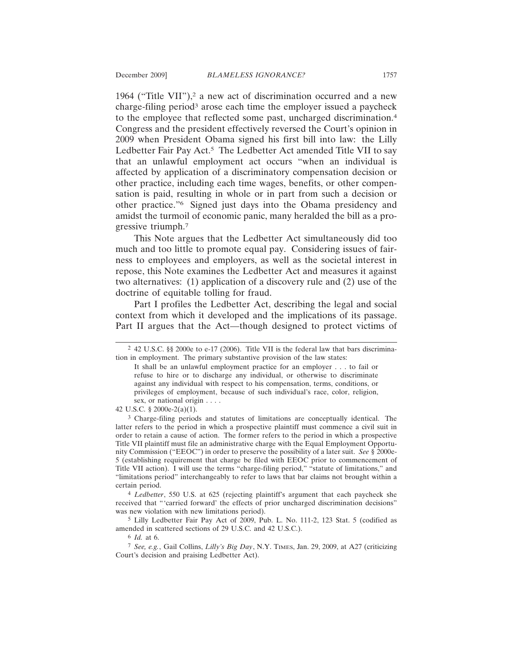1964 ("Title VII"),<sup>2</sup> a new act of discrimination occurred and a new charge-filing period<sup>3</sup> arose each time the employer issued a paycheck to the employee that reflected some past, uncharged discrimination.4 Congress and the president effectively reversed the Court's opinion in 2009 when President Obama signed his first bill into law: the Lilly Ledbetter Fair Pay Act.<sup>5</sup> The Ledbetter Act amended Title VII to say that an unlawful employment act occurs "when an individual is affected by application of a discriminatory compensation decision or other practice, including each time wages, benefits, or other compensation is paid, resulting in whole or in part from such a decision or other practice."6 Signed just days into the Obama presidency and amidst the turmoil of economic panic, many heralded the bill as a progressive triumph.7

This Note argues that the Ledbetter Act simultaneously did too much and too little to promote equal pay. Considering issues of fairness to employees and employers, as well as the societal interest in repose, this Note examines the Ledbetter Act and measures it against two alternatives: (1) application of a discovery rule and (2) use of the doctrine of equitable tolling for fraud.

Part I profiles the Ledbetter Act, describing the legal and social context from which it developed and the implications of its passage. Part II argues that the Act—though designed to protect victims of

42 U.S.C. § 2000e-2(a)(1).

3 Charge-filing periods and statutes of limitations are conceptually identical. The latter refers to the period in which a prospective plaintiff must commence a civil suit in order to retain a cause of action. The former refers to the period in which a prospective Title VII plaintiff must file an administrative charge with the Equal Employment Opportunity Commission ("EEOC") in order to preserve the possibility of a later suit. *See* § 2000e-5 (establishing requirement that charge be filed with EEOC prior to commencement of Title VII action). I will use the terms "charge-filing period," "statute of limitations," and "limitations period" interchangeably to refer to laws that bar claims not brought within a certain period.

4 *Ledbetter*, 550 U.S. at 625 (rejecting plaintiff's argument that each paycheck she received that "'carried forward' the effects of prior uncharged discrimination decisions" was new violation with new limitations period).

5 Lilly Ledbetter Fair Pay Act of 2009, Pub. L. No. 111-2, 123 Stat. 5 (codified as amended in scattered sections of 29 U.S.C. and 42 U.S.C.).

6 *Id.* at 6.

7 *See, e.g.*, Gail Collins, *Lilly's Big Day*, N.Y. TIMES, Jan. 29, 2009, at A27 (criticizing Court's decision and praising Ledbetter Act).

<sup>2</sup> 42 U.S.C. §§ 2000e to e-17 (2006). Title VII is the federal law that bars discrimination in employment. The primary substantive provision of the law states:

It shall be an unlawful employment practice for an employer . . . to fail or refuse to hire or to discharge any individual, or otherwise to discriminate against any individual with respect to his compensation, terms, conditions, or privileges of employment, because of such individual's race, color, religion, sex, or national origin . . . .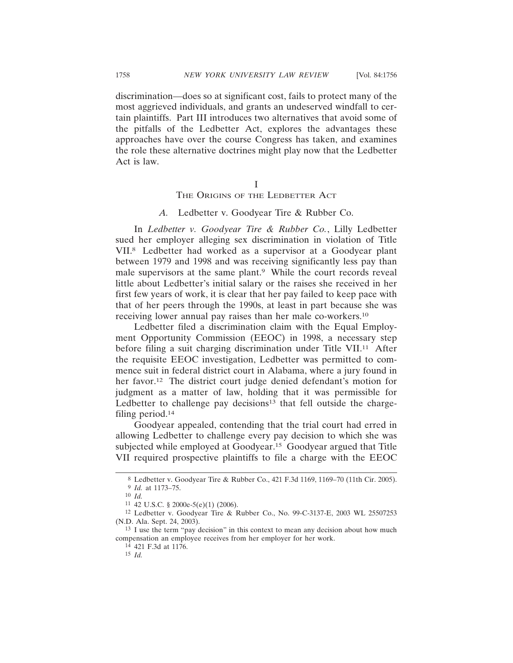discrimination—does so at significant cost, fails to protect many of the most aggrieved individuals, and grants an undeserved windfall to certain plaintiffs. Part III introduces two alternatives that avoid some of the pitfalls of the Ledbetter Act, explores the advantages these approaches have over the course Congress has taken, and examines the role these alternative doctrines might play now that the Ledbetter Act is law.

> I THE ORIGINS OF THE LEDBETTER ACT

#### *A.* Ledbetter v. Goodyear Tire & Rubber Co.

In *Ledbetter v. Goodyear Tire & Rubber Co.*, Lilly Ledbetter sued her employer alleging sex discrimination in violation of Title VII.8 Ledbetter had worked as a supervisor at a Goodyear plant between 1979 and 1998 and was receiving significantly less pay than male supervisors at the same plant.<sup>9</sup> While the court records reveal little about Ledbetter's initial salary or the raises she received in her first few years of work, it is clear that her pay failed to keep pace with that of her peers through the 1990s, at least in part because she was receiving lower annual pay raises than her male co-workers.10

Ledbetter filed a discrimination claim with the Equal Employment Opportunity Commission (EEOC) in 1998, a necessary step before filing a suit charging discrimination under Title VII.<sup>11</sup> After the requisite EEOC investigation, Ledbetter was permitted to commence suit in federal district court in Alabama, where a jury found in her favor.<sup>12</sup> The district court judge denied defendant's motion for judgment as a matter of law, holding that it was permissible for Ledbetter to challenge pay decisions<sup>13</sup> that fell outside the chargefiling period.14

Goodyear appealed, contending that the trial court had erred in allowing Ledbetter to challenge every pay decision to which she was subjected while employed at Goodyear.15 Goodyear argued that Title VII required prospective plaintiffs to file a charge with the EEOC

<sup>8</sup> Ledbetter v. Goodyear Tire & Rubber Co., 421 F.3d 1169, 1169–70 (11th Cir. 2005). 9 *Id.* at 1173–75.

<sup>10</sup> *Id.*

<sup>11</sup> 42 U.S.C. § 2000e-5(e)(1) (2006).

<sup>12</sup> Ledbetter v. Goodyear Tire & Rubber Co., No. 99-C-3137-E, 2003 WL 25507253 (N.D. Ala. Sept. 24, 2003).

<sup>13</sup> I use the term "pay decision" in this context to mean any decision about how much compensation an employee receives from her employer for her work.

<sup>14</sup> 421 F.3d at 1176.

<sup>15</sup> *Id.*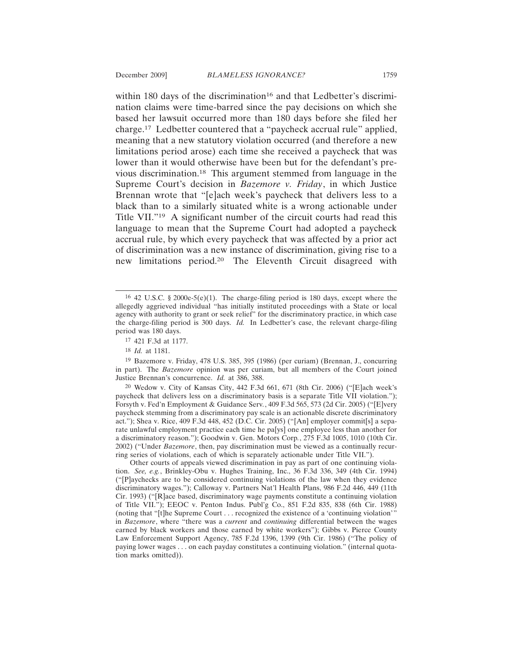within 180 days of the discrimination<sup>16</sup> and that Ledbetter's discrimination claims were time-barred since the pay decisions on which she based her lawsuit occurred more than 180 days before she filed her charge.17 Ledbetter countered that a "paycheck accrual rule" applied, meaning that a new statutory violation occurred (and therefore a new limitations period arose) each time she received a paycheck that was lower than it would otherwise have been but for the defendant's previous discrimination.18 This argument stemmed from language in the Supreme Court's decision in *Bazemore v. Friday*, in which Justice Brennan wrote that "[e]ach week's paycheck that delivers less to a black than to a similarly situated white is a wrong actionable under Title VII."19 A significant number of the circuit courts had read this language to mean that the Supreme Court had adopted a paycheck accrual rule, by which every paycheck that was affected by a prior act of discrimination was a new instance of discrimination, giving rise to a new limitations period.20 The Eleventh Circuit disagreed with

19 Bazemore v. Friday, 478 U.S. 385, 395 (1986) (per curiam) (Brennan, J., concurring in part). The *Bazemore* opinion was per curiam, but all members of the Court joined Justice Brennan's concurrence. *Id.* at 386, 388.

20 Wedow v. City of Kansas City, 442 F.3d 661, 671 (8th Cir. 2006) ("[E]ach week's paycheck that delivers less on a discriminatory basis is a separate Title VII violation."); Forsyth v. Fed'n Employment & Guidance Serv*.*, 409 F.3d 565, 573 (2d Cir. 2005) ("[E]very paycheck stemming from a discriminatory pay scale is an actionable discrete discriminatory act."); Shea v. Rice, 409 F.3d 448, 452 (D.C. Cir. 2005) ("[An] employer commit[s] a separate unlawful employment practice each time he pa[ys] one employee less than another for a discriminatory reason."); Goodwin v. Gen. Motors Corp*.*, 275 F.3d 1005, 1010 (10th Cir. 2002) ("Under *Bazemore*, then, pay discrimination must be viewed as a continually recurring series of violations, each of which is separately actionable under Title VII.").

Other courts of appeals viewed discrimination in pay as part of one continuing violation. *See, e.g.*, Brinkley-Obu v. Hughes Training, Inc., 36 F.3d 336, 349 (4th Cir. 1994) ("[P]aychecks are to be considered continuing violations of the law when they evidence discriminatory wages."); Calloway v. Partners Nat'l Health Plans, 986 F.2d 446, 449 (11th Cir. 1993) ("[R]ace based, discriminatory wage payments constitute a continuing violation of Title VII."); EEOC v. Penton Indus. Publ'g Co., 851 F.2d 835, 838 (6th Cir. 1988) (noting that "[t]he Supreme Court . . . recognized the existence of a 'continuing violation'" in *Bazemore*, where "there was a *current* and *continuing* differential between the wages earned by black workers and those earned by white workers"); Gibbs v. Pierce County Law Enforcement Support Agency, 785 F.2d 1396, 1399 (9th Cir. 1986) ("The policy of paying lower wages . . . on each payday constitutes a continuing violation." (internal quotation marks omitted)).

<sup>&</sup>lt;sup>16</sup> 42 U.S.C. § 2000e-5(e)(1). The charge-filing period is 180 days, except where the allegedly aggrieved individual "has initially instituted proceedings with a State or local agency with authority to grant or seek relief" for the discriminatory practice, in which case the charge-filing period is 300 days. *Id.* In Ledbetter's case, the relevant charge-filing period was 180 days.

<sup>17</sup> 421 F.3d at 1177.

<sup>18</sup> *Id.* at 1181.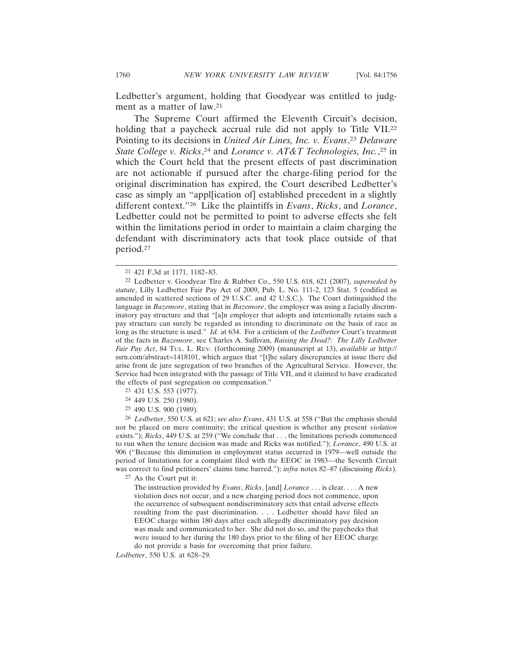Ledbetter's argument, holding that Goodyear was entitled to judgment as a matter of law.21

The Supreme Court affirmed the Eleventh Circuit's decision, holding that a paycheck accrual rule did not apply to Title VII.<sup>22</sup> Pointing to its decisions in *United Air Lines, Inc. v. Evans*, <sup>23</sup> *Delaware State College v. Ricks*, 24 and *Lorance v. AT&T Technologies, Inc.*, 25 in which the Court held that the present effects of past discrimination are not actionable if pursued after the charge-filing period for the original discrimination has expired, the Court described Ledbetter's case as simply an "appl[ication of] established precedent in a slightly different context."26 Like the plaintiffs in *Evans*, *Ricks*, and *Lorance*, Ledbetter could not be permitted to point to adverse effects she felt within the limitations period in order to maintain a claim charging the defendant with discriminatory acts that took place outside of that period.27

- 24 449 U.S. 250 (1980).
- 25 490 U.S. 900 (1989).

26 *Ledbetter*, 550 U.S. at 621; *see also Evans*, 431 U.S. at 558 ("But the emphasis should not be placed on mere continuity; the critical question is whether any present *violation* exists."); *Ricks*, 449 U.S. at 259 ("We conclude that . . . the limitations periods commenced to run when the tenure decision was made and Ricks was notified."); *Lorance*, 490 U.S. at 906 ("Because this diminution in employment status occurred in 1979—well outside the period of limitations for a complaint filed with the EEOC in 1983—the Seventh Circuit was correct to find petitioners' claims time barred."); *infra* notes 82–87 (discussing *Ricks*).

27 As the Court put it:

The instruction provided by *Evans*, *Ricks*, [and] *Lorance* . . . is clear. . . . A new violation does not occur, and a new charging period does not commence, upon the occurrence of subsequent nondiscriminatory acts that entail adverse effects resulting from the past discrimination. . . . Ledbetter should have filed an EEOC charge within 180 days after each allegedly discriminatory pay decision was made and communicated to her. She did not do so, and the paychecks that were issued to her during the 180 days prior to the filing of her EEOC charge do not provide a basis for overcoming that prior failure.

*Ledbetter*, 550 U.S. at 628–29*.*

<sup>21</sup> 421 F.3d at 1171, 1182–83.

<sup>22</sup> Ledbetter v. Goodyear Tire & Rubber Co., 550 U.S. 618, 621 (2007), *superseded by statute*, Lilly Ledbetter Fair Pay Act of 2009, Pub. L. No. 111-2, 123 Stat. 5 (codified as amended in scattered sections of 29 U.S.C. and 42 U.S.C.). The Court distinguished the language in *Bazemore*, stating that in *Bazemore*, the employer was using a facially discriminatory pay structure and that "[a]n employer that adopts and intentionally retains such a pay structure can surely be regarded as intending to discriminate on the basis of race as long as the structure is used." *Id.* at 634. For a criticism of the *Ledbetter* Court's treatment of the facts in *Bazemore*, see Charles A. Sullivan, *Raising the Dead?: The Lilly Ledbetter Fair Pay Act*, 84 TUL. L. REV. (forthcoming 2009) (manuscript at 13), *available at* http:// ssrn.com/abstract=1418101, which argues that "[t]he salary discrepancies at issue there did arise from de jure segregation of two branches of the Agricultural Service. However, the Service had been integrated with the passage of Title VII, and it claimed to have eradicated the effects of past segregation on compensation."

<sup>23</sup> 431 U.S. 553 (1977).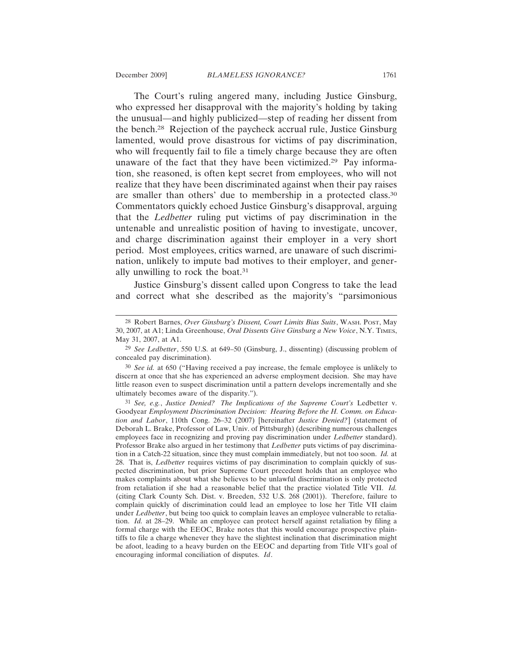The Court's ruling angered many, including Justice Ginsburg, who expressed her disapproval with the majority's holding by taking the unusual—and highly publicized—step of reading her dissent from the bench.28 Rejection of the paycheck accrual rule, Justice Ginsburg lamented, would prove disastrous for victims of pay discrimination, who will frequently fail to file a timely charge because they are often unaware of the fact that they have been victimized.29 Pay information, she reasoned, is often kept secret from employees, who will not realize that they have been discriminated against when their pay raises are smaller than others' due to membership in a protected class.30 Commentators quickly echoed Justice Ginsburg's disapproval, arguing that the *Ledbetter* ruling put victims of pay discrimination in the untenable and unrealistic position of having to investigate, uncover, and charge discrimination against their employer in a very short period. Most employees, critics warned, are unaware of such discrimination, unlikely to impute bad motives to their employer, and generally unwilling to rock the boat.31

Justice Ginsburg's dissent called upon Congress to take the lead and correct what she described as the majority's "parsimonious

<sup>28</sup> Robert Barnes, *Over Ginsburg's Dissent, Court Limits Bias Suits*, WASH. POST, May 30, 2007, at A1; Linda Greenhouse, *Oral Dissents Give Ginsburg a New Voice*, N.Y. TIMES, May 31, 2007, at A1.

<sup>29</sup> *See Ledbetter*, 550 U.S. at 649–50 (Ginsburg, J., dissenting) (discussing problem of concealed pay discrimination).

<sup>30</sup> *See id.* at 650 ("Having received a pay increase, the female employee is unlikely to discern at once that she has experienced an adverse employment decision. She may have little reason even to suspect discrimination until a pattern develops incrementally and she ultimately becomes aware of the disparity.").

<sup>31</sup> *See, e.g.*, *Justice Denied? The Implications of the Supreme Court's* Ledbetter v. Goodyear *Employment Discrimination Decision: Hearing Before the H. Comm. on Education and Labor*, 110th Cong. 26–32 (2007) [hereinafter *Justice Denied?*] (statement of Deborah L. Brake, Professor of Law, Univ. of Pittsburgh) (describing numerous challenges employees face in recognizing and proving pay discrimination under *Ledbetter* standard). Professor Brake also argued in her testimony that *Ledbetter* puts victims of pay discrimination in a Catch-22 situation, since they must complain immediately, but not too soon. *Id.* at 28. That is, *Ledbetter* requires victims of pay discrimination to complain quickly of suspected discrimination, but prior Supreme Court precedent holds that an employee who makes complaints about what she believes to be unlawful discrimination is only protected from retaliation if she had a reasonable belief that the practice violated Title VII. *Id.* (citing Clark County Sch. Dist. v. Breeden, 532 U.S. 268 (2001)). Therefore, failure to complain quickly of discrimination could lead an employee to lose her Title VII claim under *Ledbetter*, but being too quick to complain leaves an employee vulnerable to retaliation. *Id.* at 28–29. While an employee can protect herself against retaliation by filing a formal charge with the EEOC, Brake notes that this would encourage prospective plaintiffs to file a charge whenever they have the slightest inclination that discrimination might be afoot, leading to a heavy burden on the EEOC and departing from Title VII's goal of encouraging informal conciliation of disputes. *Id*.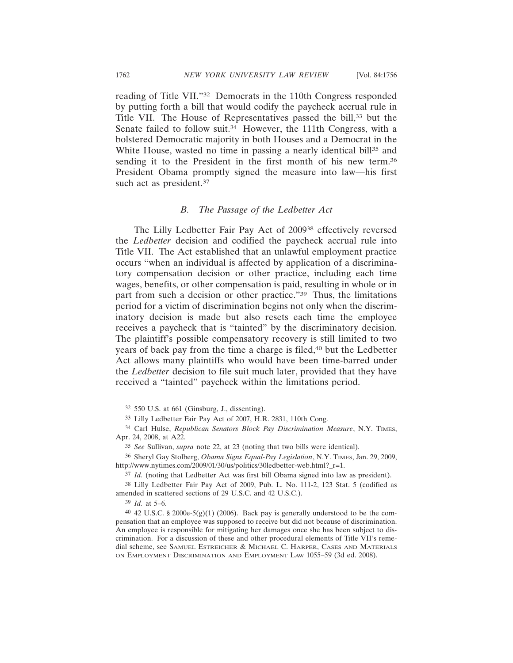reading of Title VII."32 Democrats in the 110th Congress responded by putting forth a bill that would codify the paycheck accrual rule in Title VII. The House of Representatives passed the bill,<sup>33</sup> but the Senate failed to follow suit.<sup>34</sup> However, the 111th Congress, with a bolstered Democratic majority in both Houses and a Democrat in the White House, wasted no time in passing a nearly identical bill<sup>35</sup> and sending it to the President in the first month of his new term.36 President Obama promptly signed the measure into law—his first such act as president.<sup>37</sup>

#### *B. The Passage of the Ledbetter Act*

The Lilly Ledbetter Fair Pay Act of 200938 effectively reversed the *Ledbetter* decision and codified the paycheck accrual rule into Title VII. The Act established that an unlawful employment practice occurs "when an individual is affected by application of a discriminatory compensation decision or other practice, including each time wages, benefits, or other compensation is paid, resulting in whole or in part from such a decision or other practice."39 Thus, the limitations period for a victim of discrimination begins not only when the discriminatory decision is made but also resets each time the employee receives a paycheck that is "tainted" by the discriminatory decision. The plaintiff's possible compensatory recovery is still limited to two years of back pay from the time a charge is filed,<sup>40</sup> but the Ledbetter Act allows many plaintiffs who would have been time-barred under the *Ledbetter* decision to file suit much later, provided that they have received a "tainted" paycheck within the limitations period.

<sup>32</sup> 550 U.S. at 661 (Ginsburg, J., dissenting).

<sup>33</sup> Lilly Ledbetter Fair Pay Act of 2007, H.R. 2831, 110th Cong.

<sup>34</sup> Carl Hulse, *Republican Senators Block Pay Discrimination Measure*, N.Y. TIMES, Apr. 24, 2008, at A22.

<sup>35</sup> *See* Sullivan, *supra* note 22, at 23 (noting that two bills were identical).

<sup>36</sup> Sheryl Gay Stolberg, *Obama Signs Equal-Pay Legislation*, N.Y. TIMES, Jan. 29, 2009, http://www.nytimes.com/2009/01/30/us/politics/30ledbetter-web.html?\_r=1.

<sup>37</sup> *Id.* (noting that Ledbetter Act was first bill Obama signed into law as president).

<sup>38</sup> Lilly Ledbetter Fair Pay Act of 2009, Pub. L. No. 111-2, 123 Stat. 5 (codified as amended in scattered sections of 29 U.S.C. and 42 U.S.C.).

<sup>39</sup> *Id.* at 5–6.

<sup>40 42</sup> U.S.C. § 2000e-5(g)(1) (2006). Back pay is generally understood to be the compensation that an employee was supposed to receive but did not because of discrimination. An employee is responsible for mitigating her damages once she has been subject to discrimination. For a discussion of these and other procedural elements of Title VII's remedial scheme, see SAMUEL ESTREICHER & MICHAEL C. HARPER, CASES AND MATERIALS ON EMPLOYMENT DISCRIMINATION AND EMPLOYMENT LAW 1055–59 (3d ed. 2008).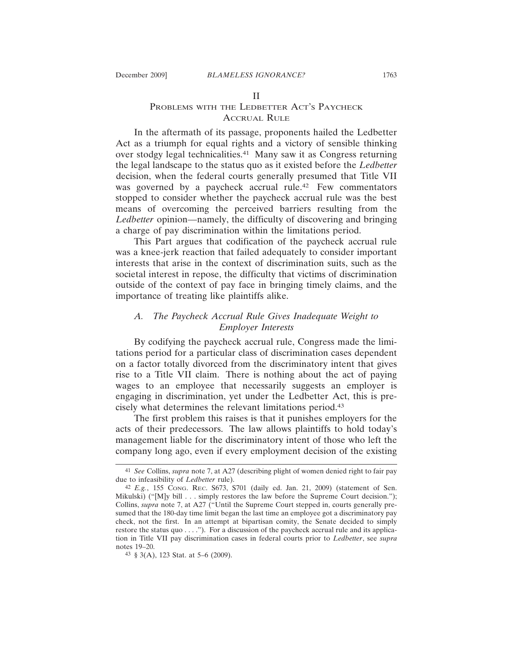## II PROBLEMS WITH THE LEDBETTER ACT'S PAYCHECK ACCRUAL RULE

In the aftermath of its passage, proponents hailed the Ledbetter Act as a triumph for equal rights and a victory of sensible thinking over stodgy legal technicalities.41 Many saw it as Congress returning the legal landscape to the status quo as it existed before the *Ledbetter* decision, when the federal courts generally presumed that Title VII was governed by a paycheck accrual rule.<sup>42</sup> Few commentators stopped to consider whether the paycheck accrual rule was the best means of overcoming the perceived barriers resulting from the *Ledbetter* opinion—namely, the difficulty of discovering and bringing a charge of pay discrimination within the limitations period.

This Part argues that codification of the paycheck accrual rule was a knee-jerk reaction that failed adequately to consider important interests that arise in the context of discrimination suits, such as the societal interest in repose, the difficulty that victims of discrimination outside of the context of pay face in bringing timely claims, and the importance of treating like plaintiffs alike.

## *A. The Paycheck Accrual Rule Gives Inadequate Weight to Employer Interests*

By codifying the paycheck accrual rule, Congress made the limitations period for a particular class of discrimination cases dependent on a factor totally divorced from the discriminatory intent that gives rise to a Title VII claim. There is nothing about the act of paying wages to an employee that necessarily suggests an employer is engaging in discrimination, yet under the Ledbetter Act, this is precisely what determines the relevant limitations period.43

The first problem this raises is that it punishes employers for the acts of their predecessors. The law allows plaintiffs to hold today's management liable for the discriminatory intent of those who left the company long ago, even if every employment decision of the existing

<sup>41</sup> *See* Collins, *supra* note 7, at A27 (describing plight of women denied right to fair pay due to infeasibility of *Ledbetter* rule).

<sup>42</sup> *E.g.*, 155 CONG. REC. S673, S701 (daily ed. Jan. 21, 2009) (statement of Sen. Mikulski) ("[M]y bill . . . simply restores the law before the Supreme Court decision."); Collins, *supra* note 7, at A27 ("Until the Supreme Court stepped in, courts generally presumed that the 180-day time limit began the last time an employee got a discriminatory pay check, not the first. In an attempt at bipartisan comity, the Senate decided to simply restore the status quo . . . ."). For a discussion of the paycheck accrual rule and its application in Title VII pay discrimination cases in federal courts prior to *Ledbetter*, see *supra* notes 19–20.

<sup>43</sup> § 3(A), 123 Stat. at 5–6 (2009).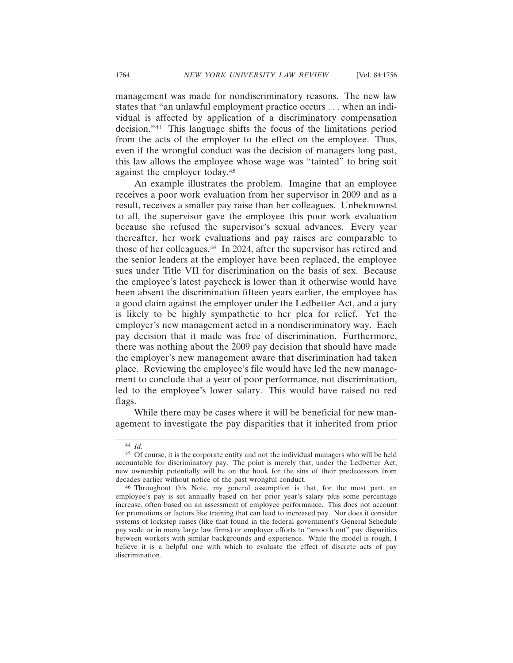management was made for nondiscriminatory reasons. The new law states that "an unlawful employment practice occurs . . . when an individual is affected by application of a discriminatory compensation decision."44 This language shifts the focus of the limitations period from the acts of the employer to the effect on the employee. Thus, even if the wrongful conduct was the decision of managers long past, this law allows the employee whose wage was "tainted" to bring suit against the employer today.45

An example illustrates the problem. Imagine that an employee receives a poor work evaluation from her supervisor in 2009 and as a result, receives a smaller pay raise than her colleagues. Unbeknownst to all, the supervisor gave the employee this poor work evaluation because she refused the supervisor's sexual advances. Every year thereafter, her work evaluations and pay raises are comparable to those of her colleagues.46 In 2024, after the supervisor has retired and the senior leaders at the employer have been replaced, the employee sues under Title VII for discrimination on the basis of sex. Because the employee's latest paycheck is lower than it otherwise would have been absent the discrimination fifteen years earlier, the employee has a good claim against the employer under the Ledbetter Act, and a jury is likely to be highly sympathetic to her plea for relief. Yet the employer's new management acted in a nondiscriminatory way. Each pay decision that it made was free of discrimination. Furthermore, there was nothing about the 2009 pay decision that should have made the employer's new management aware that discrimination had taken place. Reviewing the employee's file would have led the new management to conclude that a year of poor performance, not discrimination, led to the employee's lower salary. This would have raised no red flags.

While there may be cases where it will be beneficial for new management to investigate the pay disparities that it inherited from prior

<sup>44</sup> *Id.*

<sup>45</sup> Of course, it is the corporate entity and not the individual managers who will be held accountable for discriminatory pay. The point is merely that, under the Ledbetter Act, new ownership potentially will be on the hook for the sins of their predecessors from decades earlier without notice of the past wrongful conduct.

<sup>46</sup> Throughout this Note, my general assumption is that, for the most part, an employee's pay is set annually based on her prior year's salary plus some percentage increase, often based on an assessment of employee performance. This does not account for promotions or factors like training that can lead to increased pay. Nor does it consider systems of lockstep raises (like that found in the federal government's General Schedule pay scale or in many large law firms) or employer efforts to "smooth out" pay disparities between workers with similar backgrounds and experience. While the model is rough, I believe it is a helpful one with which to evaluate the effect of discrete acts of pay discrimination.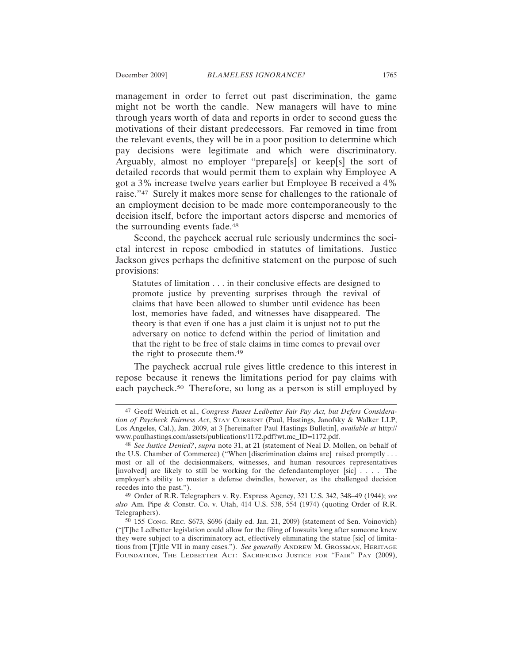management in order to ferret out past discrimination, the game might not be worth the candle. New managers will have to mine through years worth of data and reports in order to second guess the motivations of their distant predecessors. Far removed in time from the relevant events, they will be in a poor position to determine which pay decisions were legitimate and which were discriminatory. Arguably, almost no employer "prepare[s] or keep[s] the sort of detailed records that would permit them to explain why Employee A got a 3% increase twelve years earlier but Employee B received a 4% raise."47 Surely it makes more sense for challenges to the rationale of an employment decision to be made more contemporaneously to the decision itself, before the important actors disperse and memories of the surrounding events fade.48

Second, the paycheck accrual rule seriously undermines the societal interest in repose embodied in statutes of limitations. Justice Jackson gives perhaps the definitive statement on the purpose of such provisions:

Statutes of limitation . . . in their conclusive effects are designed to promote justice by preventing surprises through the revival of claims that have been allowed to slumber until evidence has been lost, memories have faded, and witnesses have disappeared. The theory is that even if one has a just claim it is unjust not to put the adversary on notice to defend within the period of limitation and that the right to be free of stale claims in time comes to prevail over the right to prosecute them.49

The paycheck accrual rule gives little credence to this interest in repose because it renews the limitations period for pay claims with each paycheck.50 Therefore, so long as a person is still employed by

<sup>47</sup> Geoff Weirich et al., *Congress Passes Ledbetter Fair Pay Act, but Defers Consideration of Paycheck Fairness Act*, STAY CURRENT (Paul, Hastings, Janofsky & Walker LLP, Los Angeles, Cal.), Jan. 2009, at 3 [hereinafter Paul Hastings Bulletin], *available at* http:// www.paulhastings.com/assets/publications/1172.pdf?wt.mc\_ID=1172.pdf.

<sup>48</sup> *See Justice Denied?*, *supra* note 31, at 21 (statement of Neal D. Mollen, on behalf of the U.S. Chamber of Commerce) ("When [discrimination claims are] raised promptly . . . most or all of the decisionmakers, witnesses, and human resources representatives [involved] are likely to still be working for the defendantemployer [sic] . . . . The employer's ability to muster a defense dwindles, however, as the challenged decision recedes into the past.").

<sup>49</sup> Order of R.R. Telegraphers v. Ry. Express Agency, 321 U.S. 342, 348–49 (1944); *see also* Am. Pipe & Constr. Co. v. Utah, 414 U.S. 538, 554 (1974) (quoting Order of R.R. Telegraphers).

<sup>50</sup> 155 CONG. REC. S673, S696 (daily ed. Jan. 21, 2009) (statement of Sen. Voinovich) ("[T]he Ledbetter legislation could allow for the filing of lawsuits long after someone knew they were subject to a discriminatory act, effectively eliminating the statue [sic] of limitations from [T]itle VII in many cases."). *See generally* ANDREW M. GROSSMAN, HERITAGE FOUNDATION, THE LEDBETTER ACT: SACRIFICING JUSTICE FOR "FAIR" PAY (2009),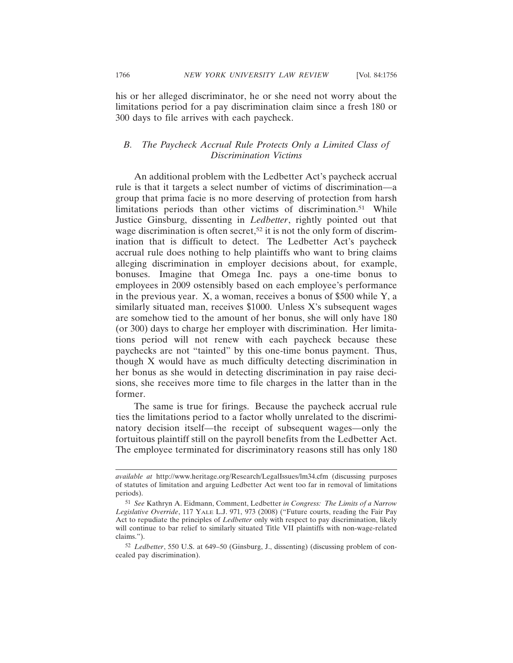his or her alleged discriminator, he or she need not worry about the limitations period for a pay discrimination claim since a fresh 180 or 300 days to file arrives with each paycheck.

## *B. The Paycheck Accrual Rule Protects Only a Limited Class of Discrimination Victims*

An additional problem with the Ledbetter Act's paycheck accrual rule is that it targets a select number of victims of discrimination—a group that prima facie is no more deserving of protection from harsh limitations periods than other victims of discrimination.<sup>51</sup> While Justice Ginsburg, dissenting in *Ledbetter*, rightly pointed out that wage discrimination is often secret,<sup>52</sup> it is not the only form of discrimination that is difficult to detect. The Ledbetter Act's paycheck accrual rule does nothing to help plaintiffs who want to bring claims alleging discrimination in employer decisions about, for example, bonuses. Imagine that Omega Inc. pays a one-time bonus to employees in 2009 ostensibly based on each employee's performance in the previous year. X, a woman, receives a bonus of \$500 while Y, a similarly situated man, receives \$1000. Unless X's subsequent wages are somehow tied to the amount of her bonus, she will only have 180 (or 300) days to charge her employer with discrimination. Her limitations period will not renew with each paycheck because these paychecks are not "tainted" by this one-time bonus payment. Thus, though X would have as much difficulty detecting discrimination in her bonus as she would in detecting discrimination in pay raise decisions, she receives more time to file charges in the latter than in the former.

The same is true for firings. Because the paycheck accrual rule ties the limitations period to a factor wholly unrelated to the discriminatory decision itself—the receipt of subsequent wages—only the fortuitous plaintiff still on the payroll benefits from the Ledbetter Act. The employee terminated for discriminatory reasons still has only 180

*available at* http://www.heritage.org/Research/LegalIssues/lm34.cfm (discussing purposes of statutes of limitation and arguing Ledbetter Act went too far in removal of limitations periods).

<sup>51</sup> *See* Kathryn A. Eidmann, Comment, Ledbetter *in Congress: The Limits of a Narrow Legislative Override*, 117 YALE L.J. 971, 973 (2008) ("Future courts, reading the Fair Pay Act to repudiate the principles of *Ledbetter* only with respect to pay discrimination, likely will continue to bar relief to similarly situated Title VII plaintiffs with non-wage-related claims.").

<sup>52</sup> *Ledbetter*, 550 U.S. at 649–50 (Ginsburg, J., dissenting) (discussing problem of concealed pay discrimination).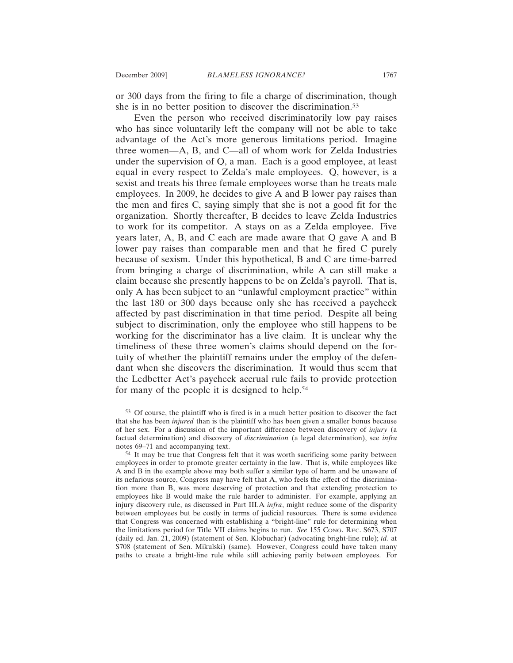or 300 days from the firing to file a charge of discrimination, though she is in no better position to discover the discrimination.<sup>53</sup>

Even the person who received discriminatorily low pay raises who has since voluntarily left the company will not be able to take advantage of the Act's more generous limitations period. Imagine three women—A, B, and C—all of whom work for Zelda Industries under the supervision of Q, a man. Each is a good employee, at least equal in every respect to Zelda's male employees. Q, however, is a sexist and treats his three female employees worse than he treats male employees. In 2009, he decides to give A and B lower pay raises than the men and fires C, saying simply that she is not a good fit for the organization. Shortly thereafter, B decides to leave Zelda Industries to work for its competitor. A stays on as a Zelda employee. Five years later, A, B, and C each are made aware that Q gave A and B lower pay raises than comparable men and that he fired C purely because of sexism. Under this hypothetical, B and C are time-barred from bringing a charge of discrimination, while A can still make a claim because she presently happens to be on Zelda's payroll. That is, only A has been subject to an "unlawful employment practice" within the last 180 or 300 days because only she has received a paycheck affected by past discrimination in that time period. Despite all being subject to discrimination, only the employee who still happens to be working for the discriminator has a live claim. It is unclear why the timeliness of these three women's claims should depend on the fortuity of whether the plaintiff remains under the employ of the defendant when she discovers the discrimination. It would thus seem that the Ledbetter Act's paycheck accrual rule fails to provide protection for many of the people it is designed to help.54

<sup>53</sup> Of course, the plaintiff who is fired is in a much better position to discover the fact that she has been *injured* than is the plaintiff who has been given a smaller bonus because of her sex. For a discussion of the important difference between discovery of *injury* (a factual determination) and discovery of *discrimination* (a legal determination), see *infra* notes 69–71 and accompanying text.

<sup>54</sup> It may be true that Congress felt that it was worth sacrificing some parity between employees in order to promote greater certainty in the law. That is, while employees like A and B in the example above may both suffer a similar type of harm and be unaware of its nefarious source, Congress may have felt that A, who feels the effect of the discrimination more than B, was more deserving of protection and that extending protection to employees like B would make the rule harder to administer. For example, applying an injury discovery rule, as discussed in Part III.A *infra*, might reduce some of the disparity between employees but be costly in terms of judicial resources. There is some evidence that Congress was concerned with establishing a "bright-line" rule for determining when the limitations period for Title VII claims begins to run. *See* 155 CONG. REC. S673, S707 (daily ed. Jan. 21, 2009) (statement of Sen. Klobuchar) (advocating bright-line rule); *id.* at S708 (statement of Sen. Mikulski) (same). However, Congress could have taken many paths to create a bright-line rule while still achieving parity between employees. For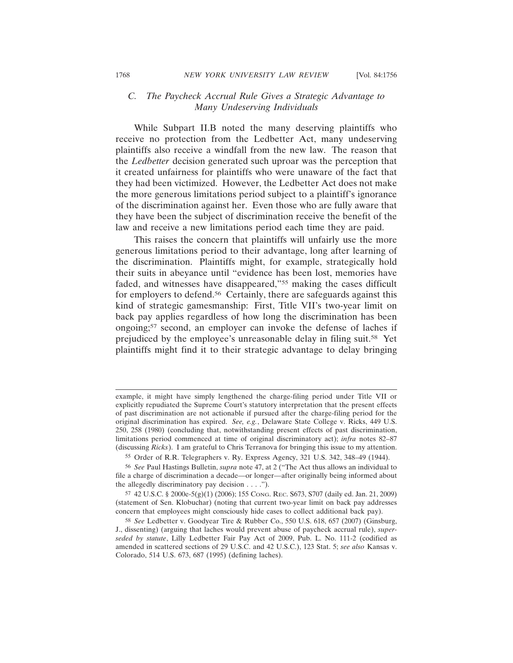## *C. The Paycheck Accrual Rule Gives a Strategic Advantage to Many Undeserving Individuals*

While Subpart II.B noted the many deserving plaintiffs who receive no protection from the Ledbetter Act, many undeserving plaintiffs also receive a windfall from the new law. The reason that the *Ledbetter* decision generated such uproar was the perception that it created unfairness for plaintiffs who were unaware of the fact that they had been victimized. However, the Ledbetter Act does not make the more generous limitations period subject to a plaintiff's ignorance of the discrimination against her. Even those who are fully aware that they have been the subject of discrimination receive the benefit of the law and receive a new limitations period each time they are paid.

This raises the concern that plaintiffs will unfairly use the more generous limitations period to their advantage, long after learning of the discrimination. Plaintiffs might, for example, strategically hold their suits in abeyance until "evidence has been lost, memories have faded, and witnesses have disappeared,"55 making the cases difficult for employers to defend.56 Certainly, there are safeguards against this kind of strategic gamesmanship: First, Title VII's two-year limit on back pay applies regardless of how long the discrimination has been ongoing;57 second, an employer can invoke the defense of laches if prejudiced by the employee's unreasonable delay in filing suit.58 Yet plaintiffs might find it to their strategic advantage to delay bringing

example, it might have simply lengthened the charge-filing period under Title VII or explicitly repudiated the Supreme Court's statutory interpretation that the present effects of past discrimination are not actionable if pursued after the charge-filing period for the original discrimination has expired. *See, e.g.*, Delaware State College v. Ricks, 449 U.S. 250, 258 (1980) (concluding that, notwithstanding present effects of past discrimination, limitations period commenced at time of original discriminatory act); *infra* notes 82–87 (discussing *Ricks*). I am grateful to Chris Terranova for bringing this issue to my attention.

<sup>55</sup> Order of R.R. Telegraphers v. Ry. Express Agency, 321 U.S. 342, 348–49 (1944).

<sup>56</sup> *See* Paul Hastings Bulletin, *supra* note 47, at 2 ("The Act thus allows an individual to file a charge of discrimination a decade—or longer—after originally being informed about the allegedly discriminatory pay decision  $\dots$ .").

<sup>57</sup> 42 U.S.C. § 2000e-5(g)(1) (2006); 155 CONG. REC. S673, S707 (daily ed. Jan. 21, 2009) (statement of Sen. Klobuchar) (noting that current two-year limit on back pay addresses concern that employees might consciously hide cases to collect additional back pay).

<sup>58</sup> *See* Ledbetter v. Goodyear Tire & Rubber Co., 550 U.S. 618, 657 (2007) (Ginsburg, J., dissenting) (arguing that laches would prevent abuse of paycheck accrual rule), *superseded by statute*, Lilly Ledbetter Fair Pay Act of 2009, Pub. L. No. 111-2 (codified as amended in scattered sections of 29 U.S.C. and 42 U.S.C.), 123 Stat. 5; *see also* Kansas v. Colorado, 514 U.S. 673, 687 (1995) (defining laches).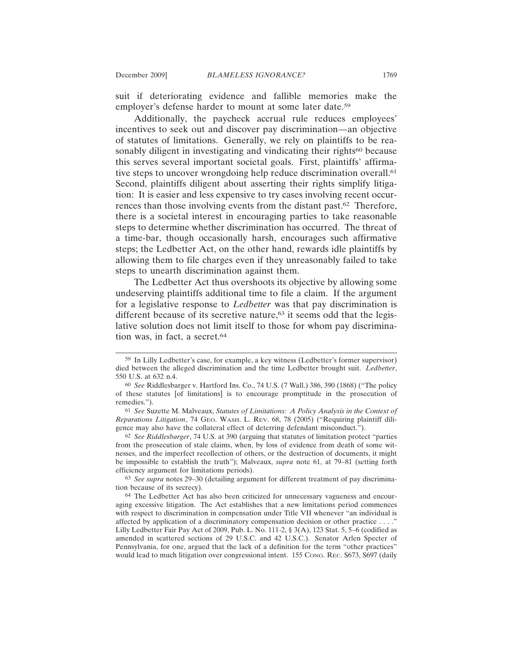suit if deteriorating evidence and fallible memories make the employer's defense harder to mount at some later date.59

Additionally, the paycheck accrual rule reduces employees' incentives to seek out and discover pay discrimination—an objective of statutes of limitations. Generally, we rely on plaintiffs to be reasonably diligent in investigating and vindicating their rights<sup>60</sup> because this serves several important societal goals. First, plaintiffs' affirmative steps to uncover wrongdoing help reduce discrimination overall.<sup>61</sup> Second, plaintiffs diligent about asserting their rights simplify litigation: It is easier and less expensive to try cases involving recent occurrences than those involving events from the distant past.62 Therefore, there is a societal interest in encouraging parties to take reasonable steps to determine whether discrimination has occurred. The threat of a time-bar, though occasionally harsh, encourages such affirmative steps; the Ledbetter Act, on the other hand, rewards idle plaintiffs by allowing them to file charges even if they unreasonably failed to take steps to unearth discrimination against them.

The Ledbetter Act thus overshoots its objective by allowing some undeserving plaintiffs additional time to file a claim. If the argument for a legislative response to *Ledbetter* was that pay discrimination is different because of its secretive nature, $63$  it seems odd that the legislative solution does not limit itself to those for whom pay discrimination was, in fact, a secret.<sup>64</sup>

63 *See supra* notes 29–30 (detailing argument for different treatment of pay discrimination because of its secrecy).

<sup>59</sup> In Lilly Ledbetter's case, for example, a key witness (Ledbetter's former supervisor) died between the alleged discrimination and the time Ledbetter brought suit. *Ledbetter*, 550 U.S. at 632 n.4.

<sup>60</sup> *See* Riddlesbarger v. Hartford Ins. Co., 74 U.S. (7 Wall.) 386, 390 (1868) ("The policy of these statutes [of limitations] is to encourage promptitude in the prosecution of remedies.").

<sup>61</sup> *See* Suzette M. Malveaux, *Statutes of Limitations: A Policy Analysis in the Context of Reparations Litigation*, 74 GEO. WASH. L. REV. 68, 78 (2005) ("Requiring plaintiff diligence may also have the collateral effect of deterring defendant misconduct.").

<sup>62</sup> *See Riddlesbarger*, 74 U.S. at 390 (arguing that statutes of limitation protect "parties from the prosecution of stale claims, when, by loss of evidence from death of some witnesses, and the imperfect recollection of others, or the destruction of documents, it might be impossible to establish the truth"); Malveaux, *supra* note 61, at 79–81 (setting forth efficiency argument for limitations periods).

<sup>64</sup> The Ledbetter Act has also been criticized for unnecessary vagueness and encouraging excessive litigation. The Act establishes that a new limitations period commences with respect to discrimination in compensation under Title VII whenever "an individual is affected by application of a discriminatory compensation decision or other practice . . . ." Lilly Ledbetter Fair Pay Act of 2009, Pub. L. No. 111-2, § 3(A), 123 Stat. 5, 5–6 (codified as amended in scattered sections of 29 U.S.C. and 42 U.S.C.). Senator Arlen Specter of Pennsylvania, for one, argued that the lack of a definition for the term "other practices" would lead to much litigation over congressional intent. 155 Cong. Rec. S673, S697 (daily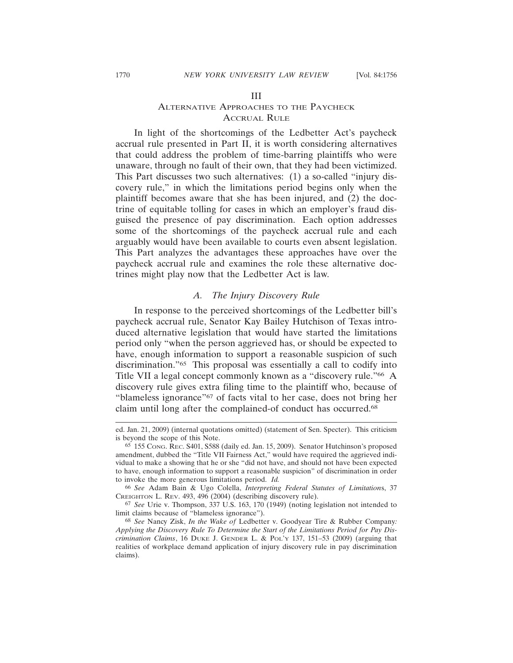#### III

## ALTERNATIVE APPROACHES TO THE PAYCHECK ACCRUAL RULE

In light of the shortcomings of the Ledbetter Act's paycheck accrual rule presented in Part II, it is worth considering alternatives that could address the problem of time-barring plaintiffs who were unaware, through no fault of their own, that they had been victimized. This Part discusses two such alternatives: (1) a so-called "injury discovery rule," in which the limitations period begins only when the plaintiff becomes aware that she has been injured, and (2) the doctrine of equitable tolling for cases in which an employer's fraud disguised the presence of pay discrimination. Each option addresses some of the shortcomings of the paycheck accrual rule and each arguably would have been available to courts even absent legislation. This Part analyzes the advantages these approaches have over the paycheck accrual rule and examines the role these alternative doctrines might play now that the Ledbetter Act is law*.*

#### *A. The Injury Discovery Rule*

In response to the perceived shortcomings of the Ledbetter bill's paycheck accrual rule, Senator Kay Bailey Hutchison of Texas introduced alternative legislation that would have started the limitations period only "when the person aggrieved has, or should be expected to have, enough information to support a reasonable suspicion of such discrimination."65 This proposal was essentially a call to codify into Title VII a legal concept commonly known as a "discovery rule."66 A discovery rule gives extra filing time to the plaintiff who, because of "blameless ignorance"67 of facts vital to her case, does not bring her claim until long after the complained-of conduct has occurred.68

ed. Jan. 21, 2009) (internal quotations omitted) (statement of Sen. Specter). This criticism is beyond the scope of this Note.

<sup>65</sup> 155 CONG. REC. S401, S588 (daily ed. Jan. 15, 2009). Senator Hutchinson's proposed amendment, dubbed the "Title VII Fairness Act," would have required the aggrieved individual to make a showing that he or she "did not have, and should not have been expected to have, enough information to support a reasonable suspicion" of discrimination in order to invoke the more generous limitations period. *Id.*

<sup>66</sup> *See* Adam Bain & Ugo Colella, *Interpreting Federal Statutes of Limitation*s, 37 CREIGHTON L. REV. 493, 496 (2004) (describing discovery rule).

<sup>67</sup> *See* Urie v. Thompson, 337 U.S. 163, 170 (1949) (noting legislation not intended to limit claims because of "blameless ignorance").

<sup>68</sup> *See* Nancy Zisk, *In the Wake of* Ledbetter v. Goodyear Tire & Rubber Company*: Applying the Discovery Rule To Determine the Start of the Limitations Period for Pay Discrimination Claims*, 16 DUKE J. GENDER L. & POL'Y 137, 151–53 (2009) (arguing that realities of workplace demand application of injury discovery rule in pay discrimination claims).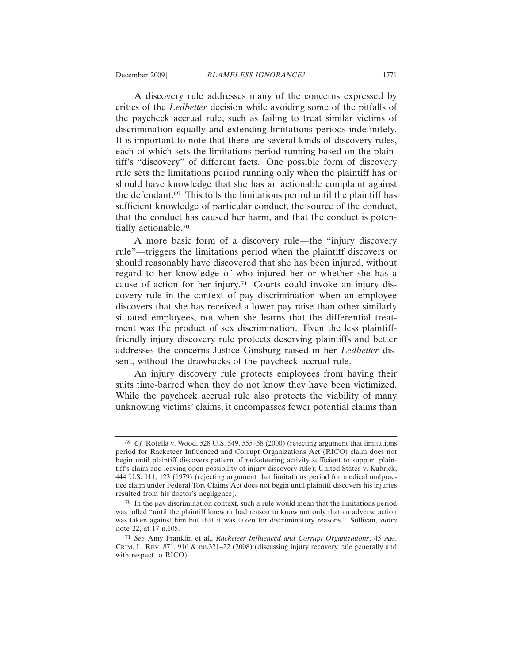A discovery rule addresses many of the concerns expressed by critics of the *Ledbetter* decision while avoiding some of the pitfalls of the paycheck accrual rule, such as failing to treat similar victims of discrimination equally and extending limitations periods indefinitely. It is important to note that there are several kinds of discovery rules, each of which sets the limitations period running based on the plaintiff's "discovery" of different facts. One possible form of discovery rule sets the limitations period running only when the plaintiff has or should have knowledge that she has an actionable complaint against the defendant.69 This tolls the limitations period until the plaintiff has sufficient knowledge of particular conduct, the source of the conduct, that the conduct has caused her harm, and that the conduct is potentially actionable.70

A more basic form of a discovery rule—the "injury discovery rule"—triggers the limitations period when the plaintiff discovers or should reasonably have discovered that she has been injured, without regard to her knowledge of who injured her or whether she has a cause of action for her injury.71 Courts could invoke an injury discovery rule in the context of pay discrimination when an employee discovers that she has received a lower pay raise than other similarly situated employees, not when she learns that the differential treatment was the product of sex discrimination. Even the less plaintifffriendly injury discovery rule protects deserving plaintiffs and better addresses the concerns Justice Ginsburg raised in her *Ledbetter* dissent, without the drawbacks of the paycheck accrual rule.

An injury discovery rule protects employees from having their suits time-barred when they do not know they have been victimized. While the paycheck accrual rule also protects the viability of many unknowing victims' claims, it encompasses fewer potential claims than

<sup>69</sup> *Cf.* Rotella v. Wood, 528 U.S. 549, 555–58 (2000) (rejecting argument that limitations period for Racketeer Influenced and Corrupt Organizations Act (RICO) claim does not begin until plaintiff discovers pattern of racketeering activity sufficient to support plaintiff's claim and leaving open possibility of injury discovery rule); United States v. Kubrick, 444 U.S. 111, 123 (1979) (rejecting argument that limitations period for medical malpractice claim under Federal Tort Claims Act does not begin until plaintiff discovers his injuries resulted from his doctor's negligence).

<sup>70</sup> In the pay discrimination context, such a rule would mean that the limitations period was tolled "until the plaintiff knew or had reason to know not only that an adverse action was taken against him but that it was taken for discriminatory reasons." Sullivan, *supra* note 22, at 17 n.105.

<sup>71</sup> *See* Amy Franklin et al., *Racketeer Influenced and Corrupt Organizations*, 45 AM. CRIM. L. REV. 871, 916 & nn.321–22 (2008) (discussing injury recovery rule generally and with respect to RICO).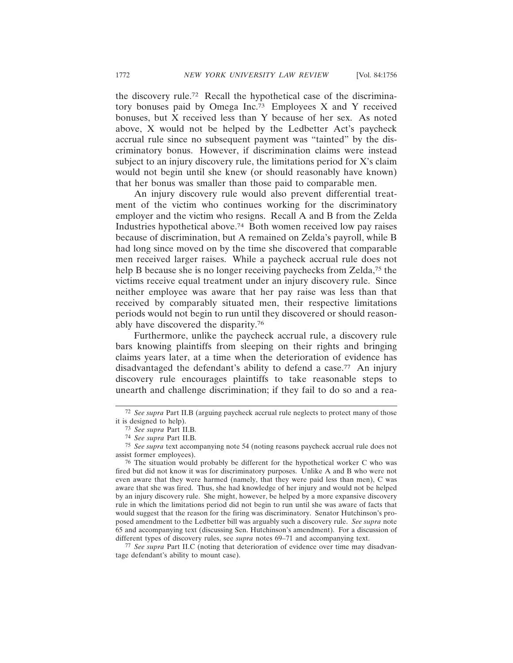the discovery rule.72 Recall the hypothetical case of the discriminatory bonuses paid by Omega Inc.73 Employees X and Y received bonuses, but X received less than Y because of her sex. As noted above, X would not be helped by the Ledbetter Act's paycheck accrual rule since no subsequent payment was "tainted" by the discriminatory bonus. However, if discrimination claims were instead subject to an injury discovery rule, the limitations period for X's claim would not begin until she knew (or should reasonably have known) that her bonus was smaller than those paid to comparable men.

An injury discovery rule would also prevent differential treatment of the victim who continues working for the discriminatory employer and the victim who resigns. Recall A and B from the Zelda Industries hypothetical above.74 Both women received low pay raises because of discrimination, but A remained on Zelda's payroll, while B had long since moved on by the time she discovered that comparable men received larger raises. While a paycheck accrual rule does not help B because she is no longer receiving paychecks from Zelda,<sup>75</sup> the victims receive equal treatment under an injury discovery rule. Since neither employee was aware that her pay raise was less than that received by comparably situated men, their respective limitations periods would not begin to run until they discovered or should reasonably have discovered the disparity.76

Furthermore, unlike the paycheck accrual rule, a discovery rule bars knowing plaintiffs from sleeping on their rights and bringing claims years later, at a time when the deterioration of evidence has disadvantaged the defendant's ability to defend a case.<sup>77</sup> An injury discovery rule encourages plaintiffs to take reasonable steps to unearth and challenge discrimination; if they fail to do so and a rea-

77 *See supra* Part II.C (noting that deterioration of evidence over time may disadvantage defendant's ability to mount case).

<sup>72</sup> *See supra* Part II.B (arguing paycheck accrual rule neglects to protect many of those it is designed to help).

<sup>73</sup> *See supra* Part II.B*.*

<sup>74</sup> *See supra* Part II.B*.*

<sup>75</sup> *See supra* text accompanying note 54 (noting reasons paycheck accrual rule does not assist former employees).

<sup>76</sup> The situation would probably be different for the hypothetical worker C who was fired but did not know it was for discriminatory purposes. Unlike A and B who were not even aware that they were harmed (namely, that they were paid less than men), C was aware that she was fired. Thus, she had knowledge of her injury and would not be helped by an injury discovery rule. She might, however, be helped by a more expansive discovery rule in which the limitations period did not begin to run until she was aware of facts that would suggest that the reason for the firing was discriminatory. Senator Hutchinson's proposed amendment to the Ledbetter bill was arguably such a discovery rule. *See supra* note 65 and accompanying text (discussing Sen. Hutchinson's amendment). For a discussion of different types of discovery rules, see *supra* notes 69–71 and accompanying text.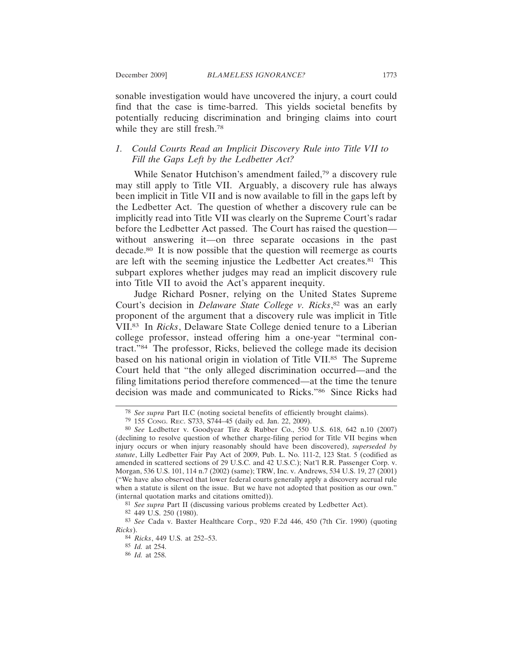sonable investigation would have uncovered the injury, a court could find that the case is time-barred. This yields societal benefits by potentially reducing discrimination and bringing claims into court while they are still fresh.<sup>78</sup>

## *1. Could Courts Read an Implicit Discovery Rule into Title VII to Fill the Gaps Left by the Ledbetter Act?*

While Senator Hutchison's amendment failed,<sup>79</sup> a discovery rule may still apply to Title VII. Arguably, a discovery rule has always been implicit in Title VII and is now available to fill in the gaps left by the Ledbetter Act. The question of whether a discovery rule can be implicitly read into Title VII was clearly on the Supreme Court's radar before the Ledbetter Act passed. The Court has raised the question without answering it—on three separate occasions in the past decade.80 It is now possible that the question will reemerge as courts are left with the seeming injustice the Ledbetter Act creates.<sup>81</sup> This subpart explores whether judges may read an implicit discovery rule into Title VII to avoid the Act's apparent inequity.

Judge Richard Posner, relying on the United States Supreme Court's decision in *Delaware State College v. Ricks*, 82 was an early proponent of the argument that a discovery rule was implicit in Title VII.83 In *Ricks*, Delaware State College denied tenure to a Liberian college professor, instead offering him a one-year "terminal contract."84 The professor, Ricks, believed the college made its decision based on his national origin in violation of Title VII.85 The Supreme Court held that "the only alleged discrimination occurred—and the filing limitations period therefore commenced—at the time the tenure decision was made and communicated to Ricks."86 Since Ricks had

81 *See supra* Part II (discussing various problems created by Ledbetter Act).

<sup>78</sup> *See supra* Part II.C (noting societal benefits of efficiently brought claims).

<sup>79</sup> 155 CONG. REC. S733, S744–45 (daily ed. Jan. 22, 2009).

<sup>80</sup> *See* Ledbetter v. Goodyear Tire & Rubber Co., 550 U.S. 618, 642 n.10 (2007) (declining to resolve question of whether charge-filing period for Title VII begins when injury occurs or when injury reasonably should have been discovered), *superseded by statute*, Lilly Ledbetter Fair Pay Act of 2009, Pub. L. No. 111-2, 123 Stat. 5 (codified as amended in scattered sections of 29 U.S.C. and 42 U.S.C.); Nat'l R.R. Passenger Corp. v. Morgan, 536 U.S. 101, 114 n.7 (2002) (same); TRW, Inc. v. Andrews, 534 U.S. 19, 27 (2001) ("We have also observed that lower federal courts generally apply a discovery accrual rule when a statute is silent on the issue. But we have not adopted that position as our own." (internal quotation marks and citations omitted)).

<sup>82</sup> 449 U.S. 250 (1980).

<sup>83</sup> *See* Cada v. Baxter Healthcare Corp., 920 F.2d 446, 450 (7th Cir. 1990) (quoting *Ricks*).

<sup>84</sup> *Ricks*, 449 U.S. at 252–53.

<sup>85</sup> *Id.* at 254.

<sup>86</sup> *Id.* at 258.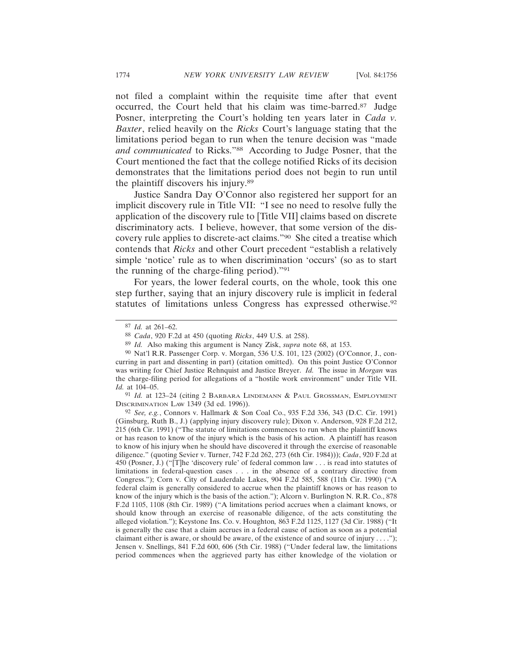not filed a complaint within the requisite time after that event occurred, the Court held that his claim was time-barred.87 Judge Posner, interpreting the Court's holding ten years later in *Cada v. Baxter*, relied heavily on the *Ricks* Court's language stating that the limitations period began to run when the tenure decision was "made *and communicated* to Ricks."88 According to Judge Posner, that the Court mentioned the fact that the college notified Ricks of its decision demonstrates that the limitations period does not begin to run until the plaintiff discovers his injury.89

Justice Sandra Day O'Connor also registered her support for an implicit discovery rule in Title VII: "I see no need to resolve fully the application of the discovery rule to [Title VII] claims based on discrete discriminatory acts. I believe, however, that some version of the discovery rule applies to discrete-act claims."90 She cited a treatise which contends that *Ricks* and other Court precedent "establish a relatively simple 'notice' rule as to when discrimination 'occurs' (so as to start the running of the charge-filing period)."91

For years, the lower federal courts, on the whole, took this one step further, saying that an injury discovery rule is implicit in federal statutes of limitations unless Congress has expressed otherwise.92

91 *Id.* at 123–24 (citing 2 BARBARA LINDEMANN & PAUL GROSSMAN, EMPLOYMENT DISCRIMINATION LAW 1349 (3d ed. 1996)).

92 *See, e.g.*, Connors v. Hallmark & Son Coal Co., 935 F.2d 336, 343 (D.C. Cir. 1991) (Ginsburg, Ruth B., J.) (applying injury discovery rule); Dixon v. Anderson, 928 F.2d 212, 215 (6th Cir. 1991) ("The statute of limitations commences to run when the plaintiff knows or has reason to know of the injury which is the basis of his action. A plaintiff has reason to know of his injury when he should have discovered it through the exercise of reasonable diligence." (quoting Sevier v. Turner, 742 F.2d 262, 273 (6th Cir. 1984))); *Cada*, 920 F.2d at 450 (Posner, J.) ("[T]he 'discovery rule' of federal common law . . . is read into statutes of limitations in federal-question cases . . . in the absence of a contrary directive from Congress."); Corn v. City of Lauderdale Lakes, 904 F.2d 585, 588 (11th Cir. 1990) ("A federal claim is generally considered to accrue when the plaintiff knows or has reason to know of the injury which is the basis of the action."); Alcorn v. Burlington N. R.R. Co., 878 F.2d 1105, 1108 (8th Cir. 1989) ("A limitations period accrues when a claimant knows, or should know through an exercise of reasonable diligence, of the acts constituting the alleged violation."); Keystone Ins. Co. v. Houghton*,* 863 F.2d 1125, 1127 (3d Cir. 1988) ("It is generally the case that a claim accrues in a federal cause of action as soon as a potential claimant either is aware, or should be aware, of the existence of and source of injury  $\dots$ "); Jensen v. Snellings, 841 F.2d 600, 606 (5th Cir. 1988) ("Under federal law, the limitations period commences when the aggrieved party has either knowledge of the violation or

<sup>87</sup> *Id.* at 261–62.

<sup>88</sup> *Cada*, 920 F.2d at 450 (quoting *Ricks*, 449 U.S. at 258).

<sup>89</sup> *Id.* Also making this argument is Nancy Zisk, *supra* note 68, at 153.

<sup>90</sup> Nat'l R.R. Passenger Corp. v. Morgan, 536 U.S. 101, 123 (2002) (O'Connor, J., concurring in part and dissenting in part) (citation omitted). On this point Justice O'Connor was writing for Chief Justice Rehnquist and Justice Breyer. *Id.* The issue in *Morgan* was the charge-filing period for allegations of a "hostile work environment" under Title VII. *Id.* at 104–05.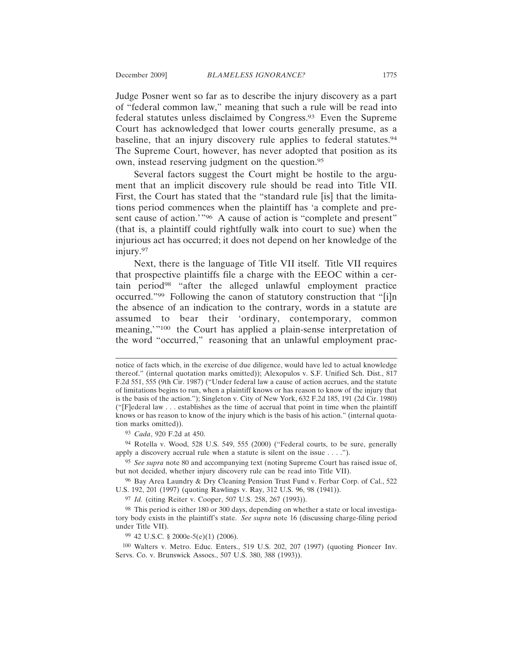Judge Posner went so far as to describe the injury discovery as a part of "federal common law," meaning that such a rule will be read into federal statutes unless disclaimed by Congress.93 Even the Supreme Court has acknowledged that lower courts generally presume, as a baseline, that an injury discovery rule applies to federal statutes.<sup>94</sup> The Supreme Court, however, has never adopted that position as its own, instead reserving judgment on the question.95

Several factors suggest the Court might be hostile to the argument that an implicit discovery rule should be read into Title VII. First, the Court has stated that the "standard rule [is] that the limitations period commences when the plaintiff has 'a complete and present cause of action.'"<sup>96</sup> A cause of action is "complete and present" (that is, a plaintiff could rightfully walk into court to sue) when the injurious act has occurred; it does not depend on her knowledge of the injury.97

Next, there is the language of Title VII itself. Title VII requires that prospective plaintiffs file a charge with the EEOC within a certain period<sup>98</sup> "after the alleged unlawful employment practice occurred."99 Following the canon of statutory construction that "[i]n the absence of an indication to the contrary, words in a statute are assumed to bear their 'ordinary, contemporary, common meaning,'"100 the Court has applied a plain-sense interpretation of the word "occurred," reasoning that an unlawful employment prac-

93 *Cada*, 920 F.2d at 450.

94 Rotella v. Wood, 528 U.S. 549, 555 (2000) ("Federal courts, to be sure, generally apply a discovery accrual rule when a statute is silent on the issue . . . .").

95 *See supra* note 80 and accompanying text (noting Supreme Court has raised issue of, but not decided, whether injury discovery rule can be read into Title VII).

96 Bay Area Laundry & Dry Cleaning Pension Trust Fund v. Ferbar Corp. of Cal., 522 U.S. 192, 201 (1997) (quoting Rawlings v. Ray, 312 U.S. 96, 98 (1941)).

97 *Id.* (citing Reiter v. Cooper, 507 U.S. 258, 267 (1993)).

99 42 U.S.C. § 2000e-5(e)(1) (2006).

100 Walters v. Metro. Educ. Enters., 519 U.S. 202, 207 (1997) (quoting Pioneer Inv. Servs. Co. v. Brunswick Assocs., 507 U.S. 380, 388 (1993)).

notice of facts which, in the exercise of due diligence, would have led to actual knowledge thereof." (internal quotation marks omitted)); Alexopulos v. S.F. Unified Sch. Dist., 817 F.2d 551, 555 (9th Cir. 1987) ("Under federal law a cause of action accrues, and the statute of limitations begins to run, when a plaintiff knows or has reason to know of the injury that is the basis of the action."); Singleton v. City of New York, 632 F.2d 185, 191 (2d Cir. 1980) ("[F]ederal law . . . establishes as the time of accrual that point in time when the plaintiff knows or has reason to know of the injury which is the basis of his action." (internal quotation marks omitted)).

<sup>98</sup> This period is either 180 or 300 days, depending on whether a state or local investigatory body exists in the plaintiff's state. *See supra* note 16 (discussing charge-filing period under Title VII).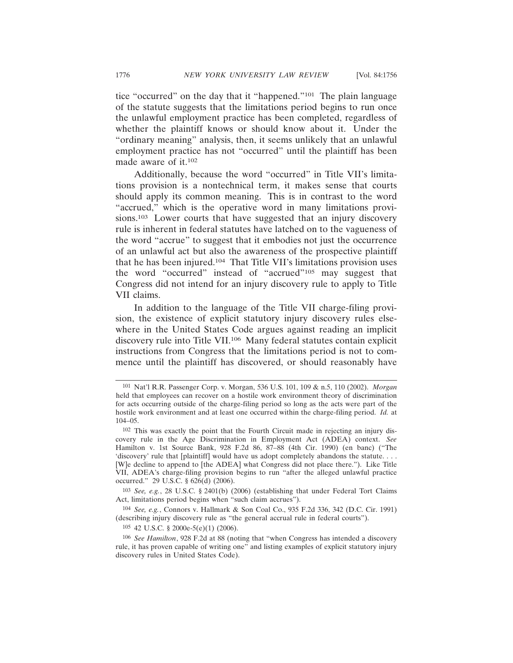tice "occurred" on the day that it "happened."101 The plain language of the statute suggests that the limitations period begins to run once the unlawful employment practice has been completed, regardless of whether the plaintiff knows or should know about it. Under the "ordinary meaning" analysis, then, it seems unlikely that an unlawful employment practice has not "occurred" until the plaintiff has been made aware of it.102

Additionally, because the word "occurred" in Title VII's limitations provision is a nontechnical term, it makes sense that courts should apply its common meaning. This is in contrast to the word "accrued," which is the operative word in many limitations provisions.<sup>103</sup> Lower courts that have suggested that an injury discovery rule is inherent in federal statutes have latched on to the vagueness of the word "accrue" to suggest that it embodies not just the occurrence of an unlawful act but also the awareness of the prospective plaintiff that he has been injured.104 That Title VII's limitations provision uses the word "occurred" instead of "accrued"105 may suggest that Congress did not intend for an injury discovery rule to apply to Title VII claims.

In addition to the language of the Title VII charge-filing provision, the existence of explicit statutory injury discovery rules elsewhere in the United States Code argues against reading an implicit discovery rule into Title VII.106 Many federal statutes contain explicit instructions from Congress that the limitations period is not to commence until the plaintiff has discovered, or should reasonably have

103 *See, e.g.*, 28 U.S.C. § 2401(b) (2006) (establishing that under Federal Tort Claims Act, limitations period begins when "such claim accrues").

104 *See, e.g.*, Connors v. Hallmark & Son Coal Co., 935 F.2d 336, 342 (D.C. Cir. 1991) (describing injury discovery rule as "the general accrual rule in federal courts").

105 42 U.S.C. § 2000e-5(e)(1) (2006).

106 *See Hamilton*, 928 F.2d at 88 (noting that "when Congress has intended a discovery rule, it has proven capable of writing one" and listing examples of explicit statutory injury discovery rules in United States Code).

<sup>101</sup> Nat'l R.R. Passenger Corp. v. Morgan, 536 U.S. 101, 109 & n.5, 110 (2002). *Morgan* held that employees can recover on a hostile work environment theory of discrimination for acts occurring outside of the charge-filing period so long as the acts were part of the hostile work environment and at least one occurred within the charge-filing period. *Id.* at 104–05.

<sup>102</sup> This was exactly the point that the Fourth Circuit made in rejecting an injury discovery rule in the Age Discrimination in Employment Act (ADEA) context. *See* Hamilton v. 1st Source Bank, 928 F.2d 86, 87–88 (4th Cir. 1990) (en banc) ("The 'discovery' rule that [plaintiff] would have us adopt completely abandons the statute. . . . [W]e decline to append to [the ADEA] what Congress did not place there."). Like Title VII, ADEA's charge-filing provision begins to run "after the alleged unlawful practice occurred." 29 U.S.C. § 626(d) (2006).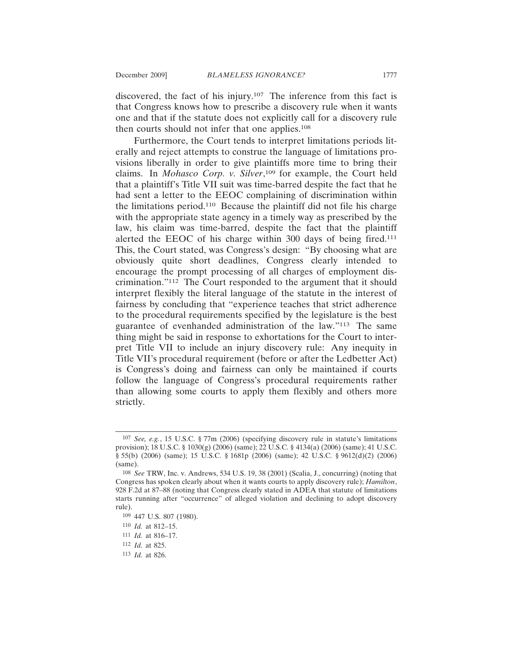discovered, the fact of his injury.107 The inference from this fact is that Congress knows how to prescribe a discovery rule when it wants one and that if the statute does not explicitly call for a discovery rule then courts should not infer that one applies.<sup>108</sup>

Furthermore, the Court tends to interpret limitations periods literally and reject attempts to construe the language of limitations provisions liberally in order to give plaintiffs more time to bring their claims. In *Mohasco Corp. v. Silver*, 109 for example, the Court held that a plaintiff's Title VII suit was time-barred despite the fact that he had sent a letter to the EEOC complaining of discrimination within the limitations period.110 Because the plaintiff did not file his charge with the appropriate state agency in a timely way as prescribed by the law, his claim was time-barred, despite the fact that the plaintiff alerted the EEOC of his charge within 300 days of being fired.111 This, the Court stated, was Congress's design: "By choosing what are obviously quite short deadlines, Congress clearly intended to encourage the prompt processing of all charges of employment discrimination."112 The Court responded to the argument that it should interpret flexibly the literal language of the statute in the interest of fairness by concluding that "experience teaches that strict adherence to the procedural requirements specified by the legislature is the best guarantee of evenhanded administration of the law."113 The same thing might be said in response to exhortations for the Court to interpret Title VII to include an injury discovery rule: Any inequity in Title VII's procedural requirement (before or after the Ledbetter Act) is Congress's doing and fairness can only be maintained if courts follow the language of Congress's procedural requirements rather than allowing some courts to apply them flexibly and others more strictly.

<sup>107</sup> *See, e.g.*, 15 U.S.C. § 77m (2006) (specifying discovery rule in statute's limitations provision); 18 U.S.C. § 1030(g) (2006) (same); 22 U.S.C. § 4134(a) (2006) (same); 41 U.S.C. § 55(b) (2006) (same); 15 U.S.C. § 1681p (2006) (same); 42 U.S.C. § 9612(d)(2) (2006) (same).

<sup>108</sup> *See* TRW, Inc. v. Andrews, 534 U.S. 19, 38 (2001) (Scalia, J., concurring) (noting that Congress has spoken clearly about when it wants courts to apply discovery rule); *Hamilton*, 928 F.2d at 87–88 (noting that Congress clearly stated in ADEA that statute of limitations starts running after "occurrence" of alleged violation and declining to adopt discovery rule).

<sup>109</sup> 447 U.S. 807 (1980).

<sup>110</sup> *Id.* at 812–15.

<sup>111</sup> *Id.* at 816–17.

<sup>112</sup> *Id.* at 825.

<sup>113</sup> *Id.* at 826.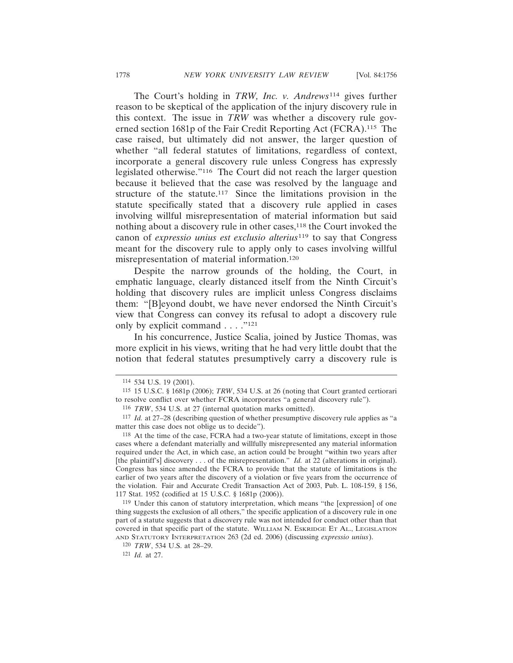The Court's holding in *TRW, Inc. v. Andrews*<sup>114</sup> gives further reason to be skeptical of the application of the injury discovery rule in this context. The issue in *TRW* was whether a discovery rule governed section 1681p of the Fair Credit Reporting Act (FCRA).115 The case raised, but ultimately did not answer, the larger question of whether "all federal statutes of limitations, regardless of context, incorporate a general discovery rule unless Congress has expressly legislated otherwise."116 The Court did not reach the larger question because it believed that the case was resolved by the language and structure of the statute.117 Since the limitations provision in the statute specifically stated that a discovery rule applied in cases involving willful misrepresentation of material information but said nothing about a discovery rule in other cases,<sup>118</sup> the Court invoked the canon of *expressio unius est exclusio alterius*119 to say that Congress meant for the discovery rule to apply only to cases involving willful misrepresentation of material information.120

Despite the narrow grounds of the holding, the Court, in emphatic language, clearly distanced itself from the Ninth Circuit's holding that discovery rules are implicit unless Congress disclaims them: "[B]eyond doubt, we have never endorsed the Ninth Circuit's view that Congress can convey its refusal to adopt a discovery rule only by explicit command  $\dots$ ."<sup>121</sup>

In his concurrence, Justice Scalia, joined by Justice Thomas, was more explicit in his views, writing that he had very little doubt that the notion that federal statutes presumptively carry a discovery rule is

119 Under this canon of statutory interpretation, which means "the [expression] of one thing suggests the exclusion of all others," the specific application of a discovery rule in one part of a statute suggests that a discovery rule was not intended for conduct other than that covered in that specific part of the statute. WILLIAM N. ESKRIDGE ET AL., LEGISLATION AND STATUTORY INTERPRETATION 263 (2d ed. 2006) (discussing *expressio unius*).

<sup>114</sup> 534 U.S. 19 (2001).

<sup>115</sup> 15 U.S.C. § 1681p (2006); *TRW*, 534 U.S. at 26 (noting that Court granted certiorari to resolve conflict over whether FCRA incorporates "a general discovery rule").

<sup>116</sup> *TRW*, 534 U.S. at 27 (internal quotation marks omitted).

<sup>117</sup> *Id.* at 27–28 (describing question of whether presumptive discovery rule applies as "a matter this case does not oblige us to decide").

<sup>118</sup> At the time of the case, FCRA had a two-year statute of limitations, except in those cases where a defendant materially and willfully misrepresented any material information required under the Act, in which case, an action could be brought "within two years after [the plaintiff's] discovery . . . of the misrepresentation." *Id.* at 22 (alterations in original). Congress has since amended the FCRA to provide that the statute of limitations is the earlier of two years after the discovery of a violation or five years from the occurrence of the violation. Fair and Accurate Credit Transaction Act of 2003, Pub. L. 108-159, § 156, 117 Stat. 1952 (codified at 15 U.S.C. § 1681p (2006)).

<sup>120</sup> *TRW*, 534 U.S. at 28–29.

<sup>121</sup> *Id.* at 27.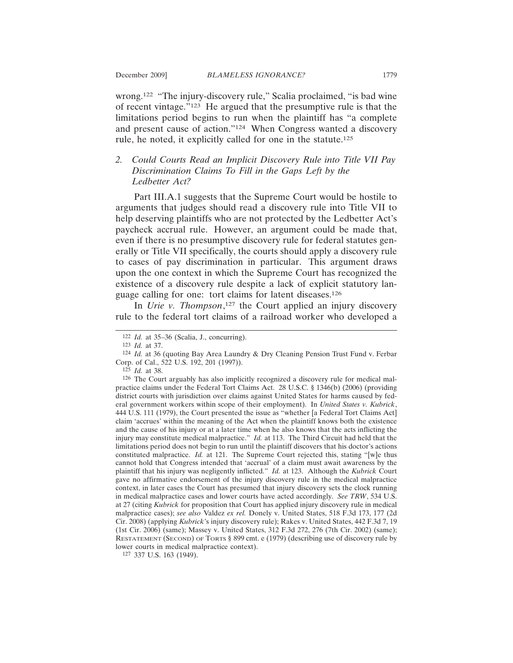wrong.122 "The injury-discovery rule," Scalia proclaimed, "is bad wine of recent vintage."123 He argued that the presumptive rule is that the limitations period begins to run when the plaintiff has "a complete and present cause of action."124 When Congress wanted a discovery rule, he noted, it explicitly called for one in the statute.125

## *2. Could Courts Read an Implicit Discovery Rule into Title VII Pay Discrimination Claims To Fill in the Gaps Left by the Ledbetter Act?*

Part III.A.1 suggests that the Supreme Court would be hostile to arguments that judges should read a discovery rule into Title VII to help deserving plaintiffs who are not protected by the Ledbetter Act's paycheck accrual rule. However, an argument could be made that, even if there is no presumptive discovery rule for federal statutes generally or Title VII specifically, the courts should apply a discovery rule to cases of pay discrimination in particular. This argument draws upon the one context in which the Supreme Court has recognized the existence of a discovery rule despite a lack of explicit statutory language calling for one: tort claims for latent diseases.126

In *Urie v. Thompson*, 127 the Court applied an injury discovery rule to the federal tort claims of a railroad worker who developed a

127 337 U.S. 163 (1949).

<sup>122</sup> *Id.* at 35–36 (Scalia, J., concurring).

<sup>123</sup> *Id.* at 37.

<sup>124</sup> *Id.* at 36 (quoting Bay Area Laundry & Dry Cleaning Pension Trust Fund v. Ferbar Corp. of Cal., 522 U.S. 192, 201 (1997)).

<sup>125</sup> *Id.* at 38.

<sup>126</sup> The Court arguably has also implicitly recognized a discovery rule for medical malpractice claims under the Federal Tort Claims Act. 28 U.S.C. § 1346(b) (2006) (providing district courts with jurisdiction over claims against United States for harms caused by federal government workers within scope of their employment). In *United States v. Kubrick*, 444 U.S. 111 (1979), the Court presented the issue as "whether [a Federal Tort Claims Act] claim 'accrues' within the meaning of the Act when the plaintiff knows both the existence and the cause of his injury or at a later time when he also knows that the acts inflicting the injury may constitute medical malpractice." *Id.* at 113. The Third Circuit had held that the limitations period does not begin to run until the plaintiff discovers that his doctor's actions constituted malpractice. *Id.* at 121. The Supreme Court rejected this, stating "[w]e thus cannot hold that Congress intended that 'accrual' of a claim must await awareness by the plaintiff that his injury was negligently inflicted." *Id.* at 123. Although the *Kubrick* Court gave no affirmative endorsement of the injury discovery rule in the medical malpractice context, in later cases the Court has presumed that injury discovery sets the clock running in medical malpractice cases and lower courts have acted accordingly. *See TRW*, 534 U.S. at 27 (citing *Kubrick* for proposition that Court has applied injury discovery rule in medical malpractice cases); *see also* Valdez *ex rel.* Donely v. United States, 518 F.3d 173, 177 (2d Cir. 2008) (applying *Kubrick*'s injury discovery rule); Rakes v. United States, 442 F.3d 7, 19 (1st Cir. 2006) (same); Massey v. United States, 312 F.3d 272, 276 (7th Cir. 2002) (same); RESTATEMENT (SECOND) OF TORTS § 899 cmt. e (1979) (describing use of discovery rule by lower courts in medical malpractice context).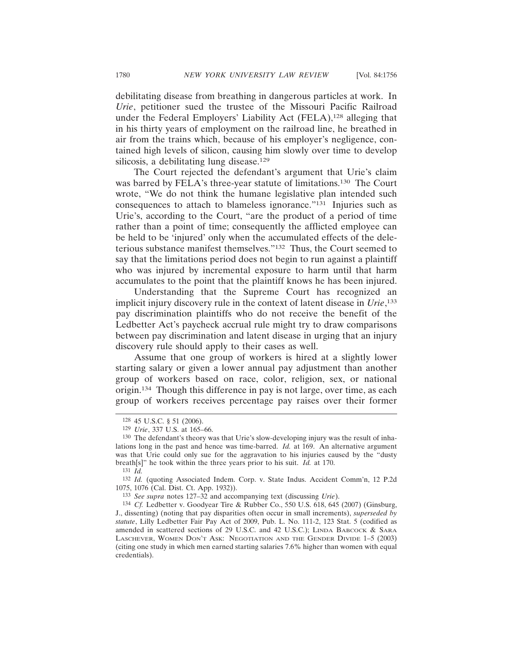debilitating disease from breathing in dangerous particles at work. In *Urie*, petitioner sued the trustee of the Missouri Pacific Railroad under the Federal Employers' Liability Act (FELA),<sup>128</sup> alleging that in his thirty years of employment on the railroad line, he breathed in air from the trains which, because of his employer's negligence, contained high levels of silicon, causing him slowly over time to develop silicosis, a debilitating lung disease.<sup>129</sup>

The Court rejected the defendant's argument that Urie's claim was barred by FELA's three-year statute of limitations.130 The Court wrote, "We do not think the humane legislative plan intended such consequences to attach to blameless ignorance."131 Injuries such as Urie's, according to the Court, "are the product of a period of time rather than a point of time; consequently the afflicted employee can be held to be 'injured' only when the accumulated effects of the deleterious substance manifest themselves."132 Thus, the Court seemed to say that the limitations period does not begin to run against a plaintiff who was injured by incremental exposure to harm until that harm accumulates to the point that the plaintiff knows he has been injured.

Understanding that the Supreme Court has recognized an implicit injury discovery rule in the context of latent disease in *Urie*, 133 pay discrimination plaintiffs who do not receive the benefit of the Ledbetter Act's paycheck accrual rule might try to draw comparisons between pay discrimination and latent disease in urging that an injury discovery rule should apply to their cases as well.

Assume that one group of workers is hired at a slightly lower starting salary or given a lower annual pay adjustment than another group of workers based on race, color, religion, sex, or national origin.134 Though this difference in pay is not large, over time, as each group of workers receives percentage pay raises over their former

<sup>128</sup> 45 U.S.C. § 51 (2006).

<sup>129</sup> *Urie*, 337 U.S. at 165–66.

<sup>130</sup> The defendant's theory was that Urie's slow-developing injury was the result of inhalations long in the past and hence was time-barred. *Id.* at 169. An alternative argument was that Urie could only sue for the aggravation to his injuries caused by the "dusty breath[s]" he took within the three years prior to his suit. *Id.* at 170.

<sup>131</sup> *Id.*

<sup>132</sup> *Id.* (quoting Associated Indem. Corp. v. State Indus. Accident Comm'n, 12 P.2d 1075, 1076 (Cal. Dist. Ct. App. 1932)).

<sup>133</sup> *See supra* notes 127–32 and accompanying text (discussing *Urie*).

<sup>134</sup> *Cf.* Ledbetter v. Goodyear Tire & Rubber Co., 550 U.S. 618, 645 (2007) (Ginsburg, J., dissenting) (noting that pay disparities often occur in small increments), *superseded by statute*, Lilly Ledbetter Fair Pay Act of 2009, Pub. L. No. 111-2, 123 Stat. 5 (codified as amended in scattered sections of 29 U.S.C. and 42 U.S.C.); LINDA BABCOCK & SARA LASCHEVER, WOMEN DON'T ASK: NEGOTIATION AND THE GENDER DIVIDE 1–5 (2003) (citing one study in which men earned starting salaries 7.6% higher than women with equal credentials).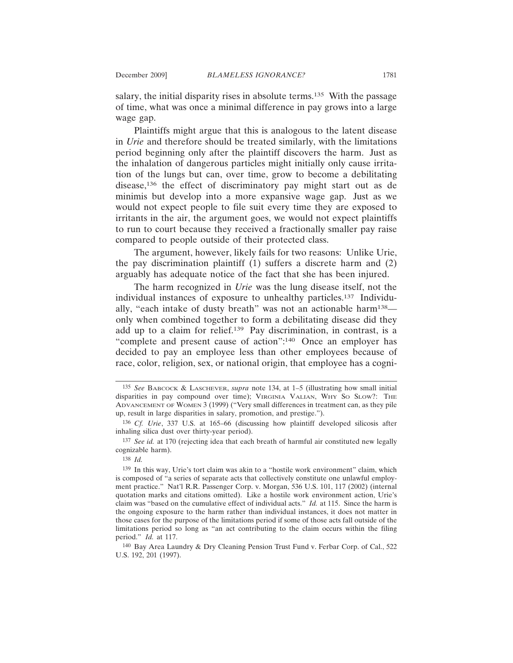salary, the initial disparity rises in absolute terms.<sup>135</sup> With the passage of time, what was once a minimal difference in pay grows into a large wage gap.

Plaintiffs might argue that this is analogous to the latent disease in *Urie* and therefore should be treated similarly, with the limitations period beginning only after the plaintiff discovers the harm. Just as the inhalation of dangerous particles might initially only cause irritation of the lungs but can, over time, grow to become a debilitating disease,136 the effect of discriminatory pay might start out as de minimis but develop into a more expansive wage gap. Just as we would not expect people to file suit every time they are exposed to irritants in the air, the argument goes, we would not expect plaintiffs to run to court because they received a fractionally smaller pay raise compared to people outside of their protected class.

The argument, however, likely fails for two reasons: Unlike Urie, the pay discrimination plaintiff (1) suffers a discrete harm and (2) arguably has adequate notice of the fact that she has been injured.

The harm recognized in *Urie* was the lung disease itself, not the individual instances of exposure to unhealthy particles.137 Individually, "each intake of dusty breath" was not an actionable harm138 only when combined together to form a debilitating disease did they add up to a claim for relief.139 Pay discrimination, in contrast, is a "complete and present cause of action":140 Once an employer has decided to pay an employee less than other employees because of race, color, religion, sex, or national origin, that employee has a cogni-

<sup>135</sup> *See* BABCOCK & LASCHEVER, *supra* note 134, at 1–5 (illustrating how small initial disparities in pay compound over time); VIRGINIA VALIAN, WHY SO SLOW?: THE ADVANCEMENT OF WOMEN 3 (1999) ("Very small differences in treatment can, as they pile up, result in large disparities in salary, promotion, and prestige.").

<sup>136</sup> *Cf. Urie*, 337 U.S. at 165–66 (discussing how plaintiff developed silicosis after inhaling silica dust over thirty-year period).

<sup>137</sup> *See id.* at 170 (rejecting idea that each breath of harmful air constituted new legally cognizable harm).

<sup>138</sup> *Id.*

<sup>139</sup> In this way, Urie's tort claim was akin to a "hostile work environment" claim, which is composed of "a series of separate acts that collectively constitute one unlawful employment practice." Nat'l R.R. Passenger Corp. v. Morgan, 536 U.S. 101, 117 (2002) (internal quotation marks and citations omitted). Like a hostile work environment action, Urie's claim was "based on the cumulative effect of individual acts." *Id.* at 115. Since the harm is the ongoing exposure to the harm rather than individual instances, it does not matter in those cases for the purpose of the limitations period if some of those acts fall outside of the limitations period so long as "an act contributing to the claim occurs within the filing period." *Id.* at 117.

<sup>140</sup> Bay Area Laundry & Dry Cleaning Pension Trust Fund v. Ferbar Corp. of Cal., 522 U.S. 192, 201 (1997).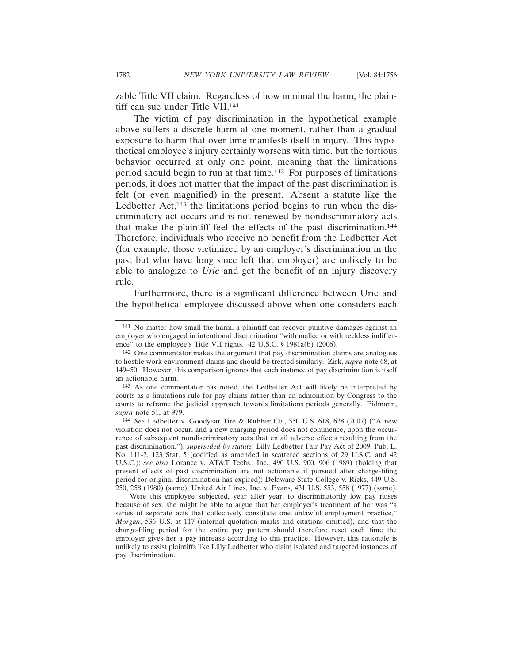zable Title VII claim. Regardless of how minimal the harm, the plaintiff can sue under Title VII.<sup>141</sup>

The victim of pay discrimination in the hypothetical example above suffers a discrete harm at one moment, rather than a gradual exposure to harm that over time manifests itself in injury. This hypothetical employee's injury certainly worsens with time, but the tortious behavior occurred at only one point, meaning that the limitations period should begin to run at that time.142 For purposes of limitations periods, it does not matter that the impact of the past discrimination is felt (or even magnified) in the present. Absent a statute like the Ledbetter Act,<sup>143</sup> the limitations period begins to run when the discriminatory act occurs and is not renewed by nondiscriminatory acts that make the plaintiff feel the effects of the past discrimination.144 Therefore, individuals who receive no benefit from the Ledbetter Act (for example, those victimized by an employer's discrimination in the past but who have long since left that employer) are unlikely to be able to analogize to *Urie* and get the benefit of an injury discovery rule.

Furthermore, there is a significant difference between Urie and the hypothetical employee discussed above when one considers each

143 As one commentator has noted, the Ledbetter Act will likely be interpreted by courts as a limitations rule for pay claims rather than an admonition by Congress to the courts to reframe the judicial approach towards limitations periods generally. Eidmann, *supra* note 51, at 979.

144 *See* Ledbetter v. Goodyear Tire & Rubber Co., 550 U.S. 618, 628 (2007) ("A new violation does not occur, and a new charging period does not commence, upon the occurrence of subsequent nondiscriminatory acts that entail adverse effects resulting from the past discrimination."), *superseded by statute*, Lilly Ledbetter Fair Pay Act of 2009, Pub. L. No. 111-2, 123 Stat. 5 (codified as amended in scattered sections of 29 U.S.C. and 42 U.S.C.); *see also* Lorance v. AT&T Techs., Inc., 490 U.S. 900, 906 (1989) (holding that present effects of past discrimination are not actionable if pursued after charge-filing period for original discrimination has expired); Delaware State College v. Ricks, 449 U.S. 250, 258 (1980) (same); United Air Lines, Inc. v. Evans, 431 U.S. 553, 558 (1977) (same).

Were this employee subjected, year after year, to discriminatorily low pay raises because of sex, she might be able to argue that her employer's treatment of her was "a series of separate acts that collectively constitute one unlawful employment practice," *Morgan*, 536 U.S. at 117 (internal quotation marks and citations omitted), and that the charge-filing period for the entire pay pattern should therefore reset each time the employer gives her a pay increase according to this practice. However, this rationale is unlikely to assist plaintiffs like Lilly Ledbetter who claim isolated and targeted instances of pay discrimination.

<sup>141</sup> No matter how small the harm, a plaintiff can recover punitive damages against an employer who engaged in intentional discrimination "with malice or with reckless indifference" to the employee's Title VII rights. 42 U.S.C. § 1981a(b) (2006).

<sup>142</sup> One commentator makes the argument that pay discrimination claims are analogous to hostile work environment claims and should be treated similarly. Zisk, *supra* note 68, at 149–50. However, this comparison ignores that each instance of pay discrimination is itself an actionable harm.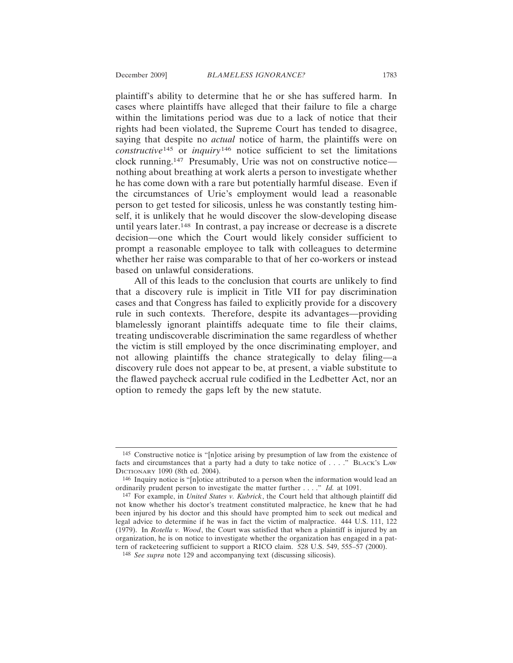plaintiff's ability to determine that he or she has suffered harm. In cases where plaintiffs have alleged that their failure to file a charge within the limitations period was due to a lack of notice that their rights had been violated, the Supreme Court has tended to disagree, saying that despite no *actual* notice of harm, the plaintiffs were on *constructive*145 or *inquiry*<sup>146</sup> notice sufficient to set the limitations clock running.147 Presumably, Urie was not on constructive notice nothing about breathing at work alerts a person to investigate whether he has come down with a rare but potentially harmful disease. Even if the circumstances of Urie's employment would lead a reasonable person to get tested for silicosis, unless he was constantly testing himself, it is unlikely that he would discover the slow-developing disease until years later.148 In contrast, a pay increase or decrease is a discrete decision—one which the Court would likely consider sufficient to prompt a reasonable employee to talk with colleagues to determine whether her raise was comparable to that of her co-workers or instead based on unlawful considerations.

All of this leads to the conclusion that courts are unlikely to find that a discovery rule is implicit in Title VII for pay discrimination cases and that Congress has failed to explicitly provide for a discovery rule in such contexts. Therefore, despite its advantages—providing blamelessly ignorant plaintiffs adequate time to file their claims, treating undiscoverable discrimination the same regardless of whether the victim is still employed by the once discriminating employer, and not allowing plaintiffs the chance strategically to delay filing—a discovery rule does not appear to be, at present, a viable substitute to the flawed paycheck accrual rule codified in the Ledbetter Act, nor an option to remedy the gaps left by the new statute.

<sup>145</sup> Constructive notice is "[n]otice arising by presumption of law from the existence of facts and circumstances that a party had a duty to take notice of . . . ." BLACK'S LAW DICTIONARY 1090 (8th ed. 2004).

<sup>146</sup> Inquiry notice is "[n]otice attributed to a person when the information would lead an ordinarily prudent person to investigate the matter further . . . ." *Id.* at 1091.

<sup>147</sup> For example, in *United States v. Kubrick*, the Court held that although plaintiff did not know whether his doctor's treatment constituted malpractice, he knew that he had been injured by his doctor and this should have prompted him to seek out medical and legal advice to determine if he was in fact the victim of malpractice. 444 U.S. 111, 122 (1979). In *Rotella v. Wood*, the Court was satisfied that when a plaintiff is injured by an organization, he is on notice to investigate whether the organization has engaged in a pattern of racketeering sufficient to support a RICO claim. 528 U.S. 549, 555–57 (2000).

<sup>148</sup> *See supra* note 129 and accompanying text (discussing silicosis).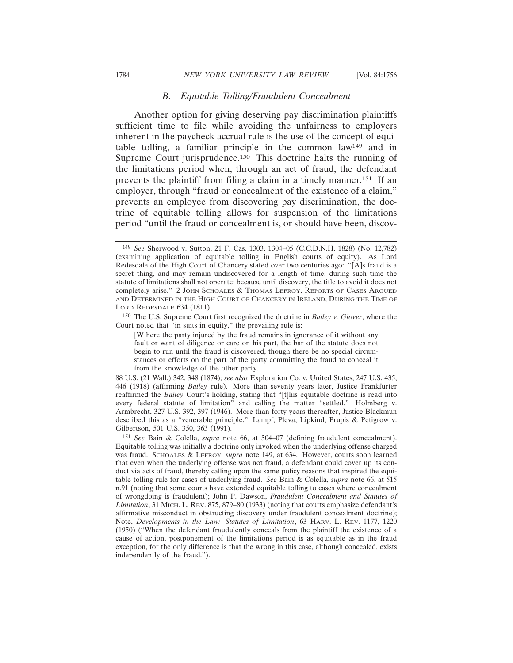#### 1784 *NEW YORK UNIVERSITY LAW REVIEW* [Vol. 84:1756

### *B. Equitable Tolling/Fraudulent Concealment*

Another option for giving deserving pay discrimination plaintiffs sufficient time to file while avoiding the unfairness to employers inherent in the paycheck accrual rule is the use of the concept of equitable tolling, a familiar principle in the common law149 and in Supreme Court jurisprudence.<sup>150</sup> This doctrine halts the running of the limitations period when, through an act of fraud, the defendant prevents the plaintiff from filing a claim in a timely manner.151 If an employer, through "fraud or concealment of the existence of a claim," prevents an employee from discovering pay discrimination, the doctrine of equitable tolling allows for suspension of the limitations period "until the fraud or concealment is, or should have been, discov-

150 The U.S. Supreme Court first recognized the doctrine in *Bailey v. Glover*, where the Court noted that "in suits in equity," the prevailing rule is:

88 U.S. (21 Wall.) 342, 348 (1874); *see also* Exploration Co. v. United States, 247 U.S. 435, 446 (1918) (affirming *Bailey* rule). More than seventy years later, Justice Frankfurter reaffirmed the *Bailey* Court's holding, stating that "[t]his equitable doctrine is read into every federal statute of limitation" and calling the matter "settled." Holmberg v. Armbrecht, 327 U.S. 392, 397 (1946). More than forty years thereafter, Justice Blackmun described this as a "venerable principle." Lampf, Pleva, Lipkind, Prupis & Petigrow v. Gilbertson, 501 U.S. 350, 363 (1991).

151 *See* Bain & Colella, *supra* note 66, at 504–07 (defining fraudulent concealment). Equitable tolling was initially a doctrine only invoked when the underlying offense charged was fraud. SCHOALES & LEFROY, *supra* note 149, at 634. However, courts soon learned that even when the underlying offense was not fraud, a defendant could cover up its conduct via acts of fraud, thereby calling upon the same policy reasons that inspired the equitable tolling rule for cases of underlying fraud. *See* Bain & Colella, *supra* note 66, at 515 n.91 (noting that some courts have extended equitable tolling to cases where concealment of wrongdoing is fraudulent); John P. Dawson, *Fraudulent Concealment and Statutes of Limitation*, 31 MICH. L. REV. 875, 879–80 (1933) (noting that courts emphasize defendant's affirmative misconduct in obstructing discovery under fraudulent concealment doctrine); Note, *Developments in the Law: Statutes of Limitation*, 63 HARV. L. REV. 1177, 1220 (1950) ("When the defendant fraudulently conceals from the plaintiff the existence of a cause of action, postponement of the limitations period is as equitable as in the fraud exception, for the only difference is that the wrong in this case, although concealed, exists independently of the fraud.").

<sup>149</sup> *See* Sherwood v. Sutton, 21 F. Cas. 1303, 1304–05 (C.C.D.N.H. 1828) (No. 12,782) (examining application of equitable tolling in English courts of equity). As Lord Redesdale of the High Court of Chancery stated over two centuries ago: "[A]s fraud is a secret thing, and may remain undiscovered for a length of time, during such time the statute of limitations shall not operate; because until discovery, the title to avoid it does not completely arise." 2 JOHN SCHOALES & THOMAS LEFROY, REPORTS OF CASES ARGUED AND DETERMINED IN THE HIGH COURT OF CHANCERY IN IRELAND, DURING THE TIME OF LORD REDESDALE 634 (1811).

<sup>[</sup>W]here the party injured by the fraud remains in ignorance of it without any fault or want of diligence or care on his part, the bar of the statute does not begin to run until the fraud is discovered, though there be no special circumstances or efforts on the part of the party committing the fraud to conceal it from the knowledge of the other party.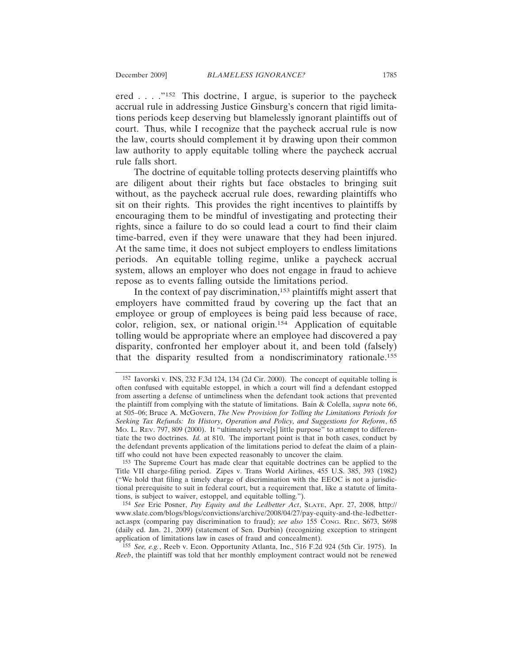ered . . . ."152 This doctrine, I argue, is superior to the paycheck accrual rule in addressing Justice Ginsburg's concern that rigid limitations periods keep deserving but blamelessly ignorant plaintiffs out of court. Thus, while I recognize that the paycheck accrual rule is now the law, courts should complement it by drawing upon their common law authority to apply equitable tolling where the paycheck accrual rule falls short.

The doctrine of equitable tolling protects deserving plaintiffs who are diligent about their rights but face obstacles to bringing suit without, as the paycheck accrual rule does, rewarding plaintiffs who sit on their rights. This provides the right incentives to plaintiffs by encouraging them to be mindful of investigating and protecting their rights, since a failure to do so could lead a court to find their claim time-barred, even if they were unaware that they had been injured. At the same time, it does not subject employers to endless limitations periods. An equitable tolling regime, unlike a paycheck accrual system, allows an employer who does not engage in fraud to achieve repose as to events falling outside the limitations period.

In the context of pay discrimination,<sup>153</sup> plaintiffs might assert that employers have committed fraud by covering up the fact that an employee or group of employees is being paid less because of race, color, religion, sex, or national origin.154 Application of equitable tolling would be appropriate where an employee had discovered a pay disparity, confronted her employer about it, and been told (falsely) that the disparity resulted from a nondiscriminatory rationale.155

<sup>152</sup> Iavorski v. INS, 232 F.3d 124, 134 (2d Cir. 2000). The concept of equitable tolling is often confused with equitable estoppel, in which a court will find a defendant estopped from asserting a defense of untimeliness when the defendant took actions that prevented the plaintiff from complying with the statute of limitations. Bain & Colella, *supra* note 66, at 505–06; Bruce A. McGovern, *The New Provision for Tolling the Limitations Periods for Seeking Tax Refunds: Its History, Operation and Policy, and Suggestions for Reform*, 65 MO. L. REV. 797, 809 (2000). It "ultimately serve[s] little purpose" to attempt to differentiate the two doctrines. *Id.* at 810. The important point is that in both cases, conduct by the defendant prevents application of the limitations period to defeat the claim of a plaintiff who could not have been expected reasonably to uncover the claim.

<sup>153</sup> The Supreme Court has made clear that equitable doctrines can be applied to the Title VII charge-filing period. Zipes v. Trans World Airlines, 455 U.S. 385, 393 (1982) ("We hold that filing a timely charge of discrimination with the EEOC is not a jurisdictional prerequisite to suit in federal court, but a requirement that, like a statute of limitations, is subject to waiver, estoppel, and equitable tolling.").

<sup>154</sup> *See* Eric Posner, *Pay Equity and the Ledbetter Act*, SLATE, Apr. 27, 2008, http:// www.slate.com/blogs/blogs/convictions/archive/2008/04/27/pay-equity-and-the-ledbetteract.aspx (comparing pay discrimination to fraud); *see also* 155 CONG. REC. S673, S698 (daily ed. Jan. 21, 2009) (statement of Sen. Durbin) (recognizing exception to stringent application of limitations law in cases of fraud and concealment).

<sup>155</sup> *See, e.g.*, Reeb v. Econ. Opportunity Atlanta, Inc., 516 F.2d 924 (5th Cir. 1975). In *Reeb*, the plaintiff was told that her monthly employment contract would not be renewed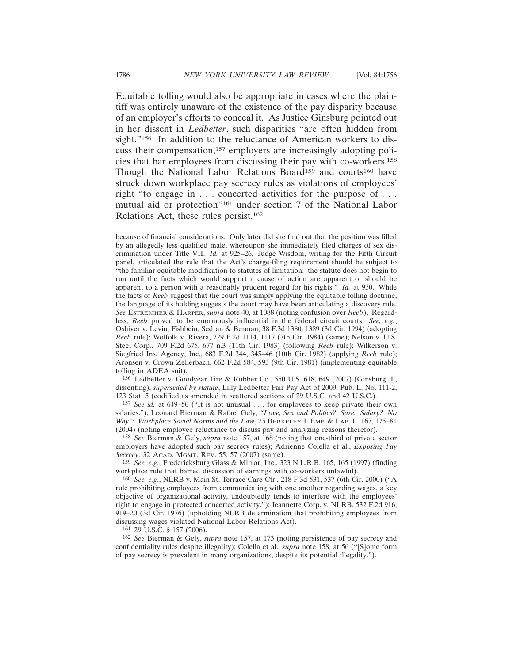Equitable tolling would also be appropriate in cases where the plaintiff was entirely unaware of the existence of the pay disparity because of an employer's efforts to conceal it. As Justice Ginsburg pointed out in her dissent in *Ledbetter*, such disparities "are often hidden from sight."<sup>156</sup> In addition to the reluctance of American workers to discuss their compensation,157 employers are increasingly adopting policies that bar employees from discussing their pay with co-workers.158 Though the National Labor Relations Board<sup>159</sup> and courts<sup>160</sup> have struck down workplace pay secrecy rules as violations of employees' right "to engage in . . . concerted activities for the purpose of . . . mutual aid or protection"161 under section 7 of the National Labor Relations Act, these rules persist.162

156 Ledbetter v. Goodyear Tire & Rubber Co., 550 U.S. 618, 649 (2007) (Ginsburg, J., dissenting), *superseded by statute*, Lilly Ledbetter Fair Pay Act of 2009, Pub. L. No. 111-2, 123 Stat. 5 (codified as amended in scattered sections of 29 U.S.C. and 42 U.S.C.).

157 *See id.* at 649–50 ("It is not unusual . . . for employees to keep private their own salaries."); Leonard Bierman & Rafael Gely, *"Love, Sex and Politics? Sure. Salary? No Way": Workplace Social Norms and the Law*, 25 BERKELEY J. EMP. & LAB. L. 167, 175–81 (2004) (noting employee reluctance to discuss pay and analyzing reasons therefor).

158 *See* Bierman & Gely, *supra* note 157, at 168 (noting that one-third of private sector employers have adopted such pay secrecy rules); Adrienne Colella et al., *Exposing Pay Secrecy*, 32 ACAD. MGMT. REV. 55, 57 (2007) (same).

159 *See, e.g.*, Fredericksburg Glass & Mirror, Inc., 323 N.L.R.B. 165, 165 (1997) (finding workplace rule that barred discussion of earnings with co-workers unlawful).

160 *See, e.g.*, NLRB v. Main St. Terrace Care Ctr., 218 F.3d 531, 537 (6th Cir. 2000) ("A rule prohibiting employees from communicating with one another regarding wages, a key objective of organizational activity, undoubtedly tends to interfere with the employees' right to engage in protected concerted activity."); Jeannette Corp. v. NLRB, 532 F.2d 916, 919–20 (3d Cir. 1976) (upholding NLRB determination that prohibiting employees from discussing wages violated National Labor Relations Act).

161 29 U.S.C. § 157 (2006).

162 *See* Bierman & Gely, *supra* note 157, at 173 (noting persistence of pay secrecy and confidentiality rules despite illegality); Colella et al., *supra* note 158, at 56 ("[S]ome form of pay secrecy is prevalent in many organizations, despite its potential illegality.").

because of financial considerations. Only later did she find out that the position was filled by an allegedly less qualified male, whereupon she immediately filed charges of sex discrimination under Title VII. *Id.* at 925–26. Judge Wisdom, writing for the Fifth Circuit panel, articulated the rule that the Act's charge-filing requirement should be subject to "the familiar equitable modification to statutes of limitation: the statute does not begin to run until the facts which would support a cause of action are apparent or should be apparent to a person with a reasonably prudent regard for his rights." *Id.* at 930. While the facts of *Reeb* suggest that the court was simply applying the equitable tolling doctrine, the language of its holding suggests the court may have been articulating a discovery rule. *See* ESTREICHER & HARPER, *supra* note 40, at 1088 (noting confusion over *Reeb*). Regardless, *Reeb* proved to be enormously influential in the federal circuit courts. *See, e.g.*, Oshiver v. Levin, Fishbein, Sedran & Berman, 38 F.3d 1380, 1389 (3d Cir. 1994) (adopting *Reeb* rule); Wolfolk v. Rivera, 729 F.2d 1114, 1117 (7th Cir. 1984) (same); Nelson v. U.S. Steel Corp., 709 F.2d 675, 677 n.3 (11th Cir. 1983) (following *Reeb* rule); Wilkerson v. Siegfried Ins. Agency, Inc., 683 F.2d 344, 345–46 (10th Cir. 1982) (applying *Reeb* rule); Aronsen v. Crown Zellerbach, 662 F.2d 584, 593 (9th Cir. 1981) (implementing equitable tolling in ADEA suit).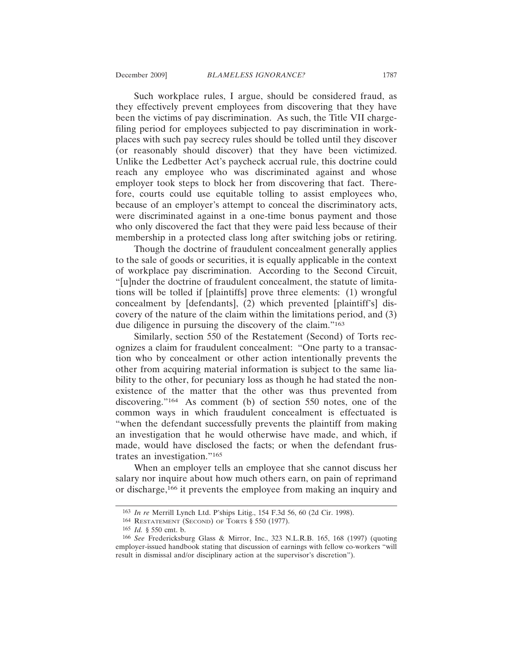Such workplace rules, I argue, should be considered fraud, as they effectively prevent employees from discovering that they have been the victims of pay discrimination. As such, the Title VII chargefiling period for employees subjected to pay discrimination in workplaces with such pay secrecy rules should be tolled until they discover (or reasonably should discover) that they have been victimized. Unlike the Ledbetter Act's paycheck accrual rule, this doctrine could reach any employee who was discriminated against and whose employer took steps to block her from discovering that fact. Therefore, courts could use equitable tolling to assist employees who, because of an employer's attempt to conceal the discriminatory acts, were discriminated against in a one-time bonus payment and those who only discovered the fact that they were paid less because of their membership in a protected class long after switching jobs or retiring.

Though the doctrine of fraudulent concealment generally applies to the sale of goods or securities, it is equally applicable in the context of workplace pay discrimination. According to the Second Circuit, "[u]nder the doctrine of fraudulent concealment, the statute of limitations will be tolled if [plaintiffs] prove three elements: (1) wrongful concealment by [defendants], (2) which prevented [plaintiff's] discovery of the nature of the claim within the limitations period, and (3) due diligence in pursuing the discovery of the claim."163

Similarly, section 550 of the Restatement (Second) of Torts recognizes a claim for fraudulent concealment: "One party to a transaction who by concealment or other action intentionally prevents the other from acquiring material information is subject to the same liability to the other, for pecuniary loss as though he had stated the nonexistence of the matter that the other was thus prevented from discovering."164 As comment (b) of section 550 notes, one of the common ways in which fraudulent concealment is effectuated is "when the defendant successfully prevents the plaintiff from making an investigation that he would otherwise have made, and which, if made, would have disclosed the facts; or when the defendant frustrates an investigation."165

When an employer tells an employee that she cannot discuss her salary nor inquire about how much others earn, on pain of reprimand or discharge,166 it prevents the employee from making an inquiry and

<sup>163</sup> *In re* Merrill Lynch Ltd. P'ships Litig., 154 F.3d 56, 60 (2d Cir. 1998).

<sup>164</sup> RESTATEMENT (SECOND) OF TORTS § 550 (1977).

<sup>165</sup> *Id.* § 550 cmt. b.

<sup>166</sup> *See* Fredericksburg Glass & Mirror, Inc., 323 N.L.R.B. 165, 168 (1997) (quoting employer-issued handbook stating that discussion of earnings with fellow co-workers "will result in dismissal and/or disciplinary action at the supervisor's discretion").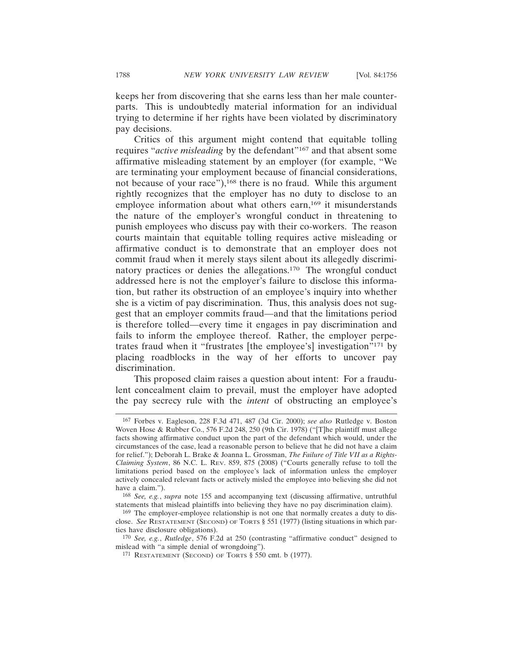keeps her from discovering that she earns less than her male counterparts. This is undoubtedly material information for an individual trying to determine if her rights have been violated by discriminatory pay decisions.

Critics of this argument might contend that equitable tolling requires "*active misleading* by the defendant"<sup>167</sup> and that absent some affirmative misleading statement by an employer (for example, "We are terminating your employment because of financial considerations, not because of your race"),<sup>168</sup> there is no fraud. While this argument rightly recognizes that the employer has no duty to disclose to an employee information about what others earn,<sup>169</sup> it misunderstands the nature of the employer's wrongful conduct in threatening to punish employees who discuss pay with their co-workers. The reason courts maintain that equitable tolling requires active misleading or affirmative conduct is to demonstrate that an employer does not commit fraud when it merely stays silent about its allegedly discriminatory practices or denies the allegations.170 The wrongful conduct addressed here is not the employer's failure to disclose this information, but rather its obstruction of an employee's inquiry into whether she is a victim of pay discrimination. Thus, this analysis does not suggest that an employer commits fraud—and that the limitations period is therefore tolled—every time it engages in pay discrimination and fails to inform the employee thereof. Rather, the employer perpetrates fraud when it "frustrates [the employee's] investigation"171 by placing roadblocks in the way of her efforts to uncover pay discrimination.

This proposed claim raises a question about intent: For a fraudulent concealment claim to prevail, must the employer have adopted the pay secrecy rule with the *intent* of obstructing an employee's

<sup>167</sup> Forbes v. Eagleson, 228 F.3d 471, 487 (3d Cir. 2000); *see also* Rutledge v. Boston Woven Hose & Rubber Co., 576 F.2d 248, 250 (9th Cir. 1978) ("[T]he plaintiff must allege facts showing affirmative conduct upon the part of the defendant which would, under the circumstances of the case, lead a reasonable person to believe that he did not have a claim for relief."); Deborah L. Brake & Joanna L. Grossman, *The Failure of Title VII as a Rights-Claiming System*, 86 N.C. L. REV. 859, 875 (2008) ("Courts generally refuse to toll the limitations period based on the employee's lack of information unless the employer actively concealed relevant facts or actively misled the employee into believing she did not have a claim.").

<sup>168</sup> *See, e.g.*, *supra* note 155 and accompanying text (discussing affirmative, untruthful statements that mislead plaintiffs into believing they have no pay discrimination claim).

<sup>169</sup> The employer-employee relationship is not one that normally creates a duty to disclose. *See* RESTATEMENT (SECOND) OF TORTS § 551 (1977) (listing situations in which parties have disclosure obligations).

<sup>170</sup> *See, e.g.*, *Rutledge*, 576 F.2d at 250 (contrasting "affirmative conduct" designed to mislead with "a simple denial of wrongdoing").

<sup>171</sup> RESTATEMENT (SECOND) OF TORTS § 550 cmt. b (1977).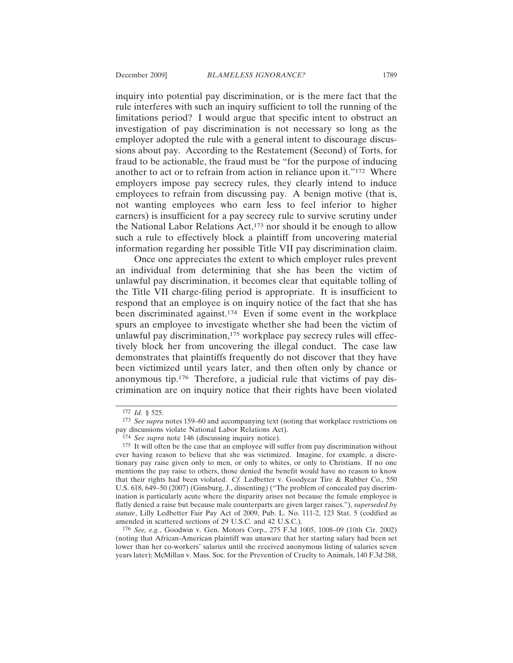inquiry into potential pay discrimination, or is the mere fact that the rule interferes with such an inquiry sufficient to toll the running of the limitations period? I would argue that specific intent to obstruct an investigation of pay discrimination is not necessary so long as the employer adopted the rule with a general intent to discourage discussions about pay. According to the Restatement (Second) of Torts, for fraud to be actionable, the fraud must be "for the purpose of inducing another to act or to refrain from action in reliance upon it."172 Where employers impose pay secrecy rules, they clearly intend to induce employees to refrain from discussing pay. A benign motive (that is, not wanting employees who earn less to feel inferior to higher earners) is insufficient for a pay secrecy rule to survive scrutiny under the National Labor Relations Act,<sup>173</sup> nor should it be enough to allow such a rule to effectively block a plaintiff from uncovering material information regarding her possible Title VII pay discrimination claim.

Once one appreciates the extent to which employer rules prevent an individual from determining that she has been the victim of unlawful pay discrimination, it becomes clear that equitable tolling of the Title VII charge-filing period is appropriate. It is insufficient to respond that an employee is on inquiry notice of the fact that she has been discriminated against.174 Even if some event in the workplace spurs an employee to investigate whether she had been the victim of unlawful pay discrimination,<sup>175</sup> workplace pay secrecy rules will effectively block her from uncovering the illegal conduct. The case law demonstrates that plaintiffs frequently do not discover that they have been victimized until years later, and then often only by chance or anonymous tip.176 Therefore, a judicial rule that victims of pay discrimination are on inquiry notice that their rights have been violated

176 *See, e.g.*, Goodwin v. Gen. Motors Corp., 275 F.3d 1005, 1008–09 (10th Cir. 2002) (noting that African-American plaintiff was unaware that her starting salary had been set lower than her co-workers' salaries until she received anonymous listing of salaries seven years later); McMillan v. Mass. Soc. for the Prevention of Cruelty to Animals, 140 F.3d 288,

<sup>172</sup> *Id.* § 525.

<sup>173</sup> *See supra* notes 159–60 and accompanying text (noting that workplace restrictions on pay discussions violate National Labor Relations Act).

<sup>174</sup> *See supra* note 146 (discussing inquiry notice).

<sup>175</sup> It will often be the case that an employee will suffer from pay discrimination without ever having reason to believe that she was victimized. Imagine, for example, a discretionary pay raise given only to men, or only to whites, or only to Christians. If no one mentions the pay raise to others, those denied the benefit would have no reason to know that their rights had been violated. *Cf.* Ledbetter v. Goodyear Tire & Rubber Co., 550 U.S. 618, 649–50 (2007) (Ginsburg, J., dissenting) ("The problem of concealed pay discrimination is particularly acute where the disparity arises not because the female employee is flatly denied a raise but because male counterparts are given larger raises."), *superseded by statute*, Lilly Ledbetter Fair Pay Act of 2009, Pub. L. No. 111-2, 123 Stat. 5 (codified as amended in scattered sections of 29 U.S.C. and 42 U.S.C.).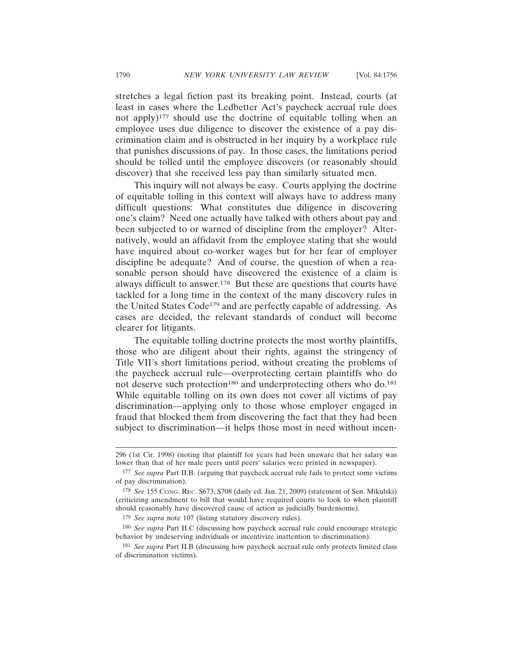stretches a legal fiction past its breaking point. Instead, courts (at least in cases where the Ledbetter Act's paycheck accrual rule does not apply)<sup>177</sup> should use the doctrine of equitable tolling when an employee uses due diligence to discover the existence of a pay discrimination claim and is obstructed in her inquiry by a workplace rule that punishes discussions of pay. In those cases, the limitations period should be tolled until the employee discovers (or reasonably should discover) that she received less pay than similarly situated men.

This inquiry will not always be easy. Courts applying the doctrine of equitable tolling in this context will always have to address many difficult questions: What constitutes due diligence in discovering one's claim? Need one actually have talked with others about pay and been subjected to or warned of discipline from the employer? Alternatively, would an affidavit from the employee stating that she would have inquired about co-worker wages but for her fear of employer discipline be adequate? And of course, the question of when a reasonable person should have discovered the existence of a claim is always difficult to answer.178 But these are questions that courts have tackled for a long time in the context of the many discovery rules in the United States Code179 and are perfectly capable of addressing. As cases are decided, the relevant standards of conduct will become clearer for litigants.

The equitable tolling doctrine protects the most worthy plaintiffs, those who are diligent about their rights, against the stringency of Title VII's short limitations period, without creating the problems of the paycheck accrual rule—overprotecting certain plaintiffs who do not deserve such protection<sup>180</sup> and underprotecting others who do.<sup>181</sup> While equitable tolling on its own does not cover all victims of pay discrimination—applying only to those whose employer engaged in fraud that blocked them from discovering the fact that they had been subject to discrimination—it helps those most in need without incen-

179 *See supra* note 107 (listing statutory discovery rules).

<sup>296 (1</sup>st Cir. 1998) (noting that plaintiff for years had been unaware that her salary was lower than that of her male peers until peers' salaries were printed in newspaper).

<sup>177</sup> *See supra* Part II.B. (arguing that paycheck accrual rule fails to protect some victims of pay discrimination).

<sup>178</sup> *See* 155 CONG. REC. S673, S708 (daily ed. Jan. 21, 2009) (statement of Sen. Mikulski) (criticizing amendment to bill that would have required courts to look to when plaintiff should reasonably have discovered cause of action as judicially burdensome).

<sup>180</sup> *See supra* Part II.C (discussing how paycheck accrual rule could encourage strategic behavior by undeserving individuals or incentivize inattention to discrimination).

<sup>181</sup> *See supra* Part II.B (discussing how paycheck accrual rule only protects limited class of discrimination victims).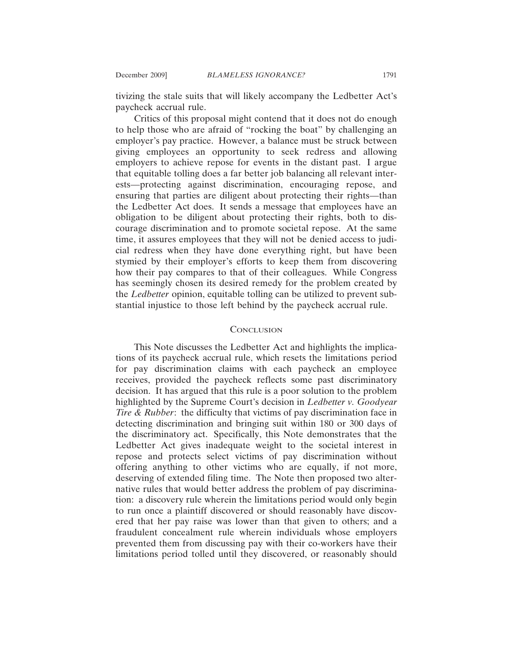tivizing the stale suits that will likely accompany the Ledbetter Act's paycheck accrual rule.

Critics of this proposal might contend that it does not do enough to help those who are afraid of "rocking the boat" by challenging an employer's pay practice. However, a balance must be struck between giving employees an opportunity to seek redress and allowing employers to achieve repose for events in the distant past. I argue that equitable tolling does a far better job balancing all relevant interests—protecting against discrimination, encouraging repose, and ensuring that parties are diligent about protecting their rights—than the Ledbetter Act does. It sends a message that employees have an obligation to be diligent about protecting their rights, both to discourage discrimination and to promote societal repose. At the same time, it assures employees that they will not be denied access to judicial redress when they have done everything right, but have been stymied by their employer's efforts to keep them from discovering how their pay compares to that of their colleagues. While Congress has seemingly chosen its desired remedy for the problem created by the *Ledbetter* opinion, equitable tolling can be utilized to prevent substantial injustice to those left behind by the paycheck accrual rule.

#### **CONCLUSION**

This Note discusses the Ledbetter Act and highlights the implications of its paycheck accrual rule, which resets the limitations period for pay discrimination claims with each paycheck an employee receives, provided the paycheck reflects some past discriminatory decision. It has argued that this rule is a poor solution to the problem highlighted by the Supreme Court's decision in *Ledbetter v. Goodyear Tire & Rubber*: the difficulty that victims of pay discrimination face in detecting discrimination and bringing suit within 180 or 300 days of the discriminatory act. Specifically, this Note demonstrates that the Ledbetter Act gives inadequate weight to the societal interest in repose and protects select victims of pay discrimination without offering anything to other victims who are equally, if not more, deserving of extended filing time. The Note then proposed two alternative rules that would better address the problem of pay discrimination: a discovery rule wherein the limitations period would only begin to run once a plaintiff discovered or should reasonably have discovered that her pay raise was lower than that given to others; and a fraudulent concealment rule wherein individuals whose employers prevented them from discussing pay with their co-workers have their limitations period tolled until they discovered, or reasonably should